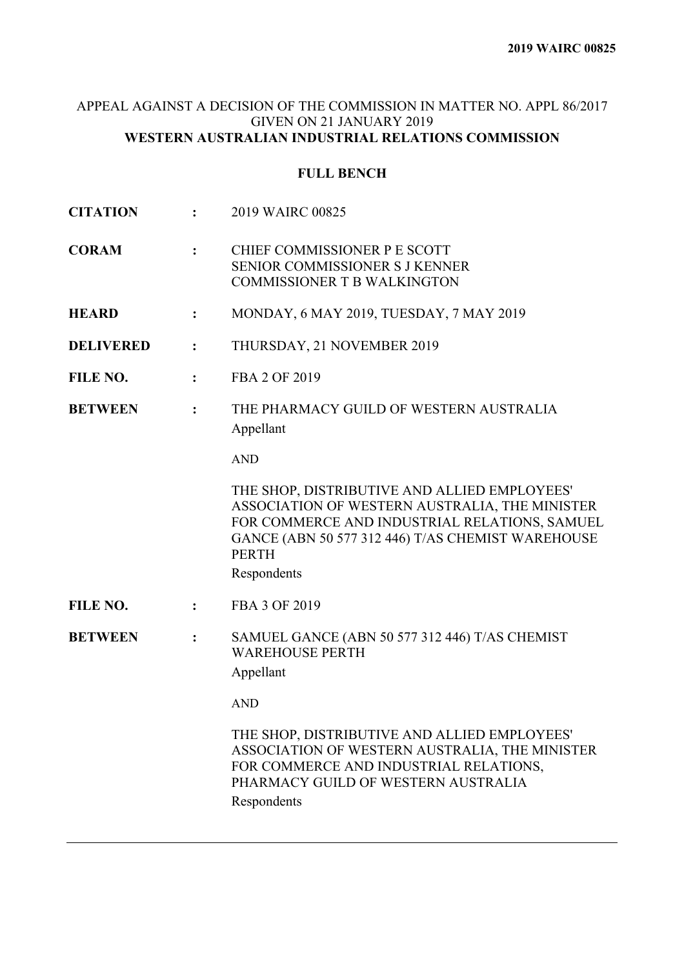## APPEAL AGAINST A DECISION OF THE COMMISSION IN MATTER NO. APPL 86/2017 GIVEN ON 21 JANUARY 2019 **WESTERN AUSTRALIAN INDUSTRIAL RELATIONS COMMISSION**

## **FULL BENCH**

| <b>CITATION</b>  | $\ddot{\cdot}$ | 2019 WAIRC 00825                                                                                                                                                                                                                                                                                      |
|------------------|----------------|-------------------------------------------------------------------------------------------------------------------------------------------------------------------------------------------------------------------------------------------------------------------------------------------------------|
| <b>CORAM</b>     | $\ddot{\cdot}$ | CHIEF COMMISSIONER P E SCOTT<br><b>SENIOR COMMISSIONER S J KENNER</b><br>COMMISSIONER T B WALKINGTON                                                                                                                                                                                                  |
| <b>HEARD</b>     | :              | MONDAY, 6 MAY 2019, TUESDAY, 7 MAY 2019                                                                                                                                                                                                                                                               |
| <b>DELIVERED</b> | :              | THURSDAY, 21 NOVEMBER 2019                                                                                                                                                                                                                                                                            |
| FILE NO.         | $\ddot{\cdot}$ | FBA 2 OF 2019                                                                                                                                                                                                                                                                                         |
| <b>BETWEEN</b>   | $\ddot{\cdot}$ | THE PHARMACY GUILD OF WESTERN AUSTRALIA<br>Appellant                                                                                                                                                                                                                                                  |
|                  |                | <b>AND</b>                                                                                                                                                                                                                                                                                            |
|                  |                | THE SHOP, DISTRIBUTIVE AND ALLIED EMPLOYEES'<br>ASSOCIATION OF WESTERN AUSTRALIA, THE MINISTER<br>FOR COMMERCE AND INDUSTRIAL RELATIONS, SAMUEL<br>GANCE (ABN 50 577 312 446) T/AS CHEMIST WAREHOUSE<br><b>PERTH</b><br>Respondents                                                                   |
| FILE NO.         | $\ddot{\cdot}$ | FBA 3 OF 2019                                                                                                                                                                                                                                                                                         |
| <b>BETWEEN</b>   | :              | SAMUEL GANCE (ABN 50 577 312 446) T/AS CHEMIST<br><b>WAREHOUSE PERTH</b><br>Appellant<br><b>AND</b><br>THE SHOP, DISTRIBUTIVE AND ALLIED EMPLOYEES'<br>ASSOCIATION OF WESTERN AUSTRALIA, THE MINISTER<br>FOR COMMERCE AND INDUSTRIAL RELATIONS,<br>PHARMACY GUILD OF WESTERN AUSTRALIA<br>Respondents |
|                  |                |                                                                                                                                                                                                                                                                                                       |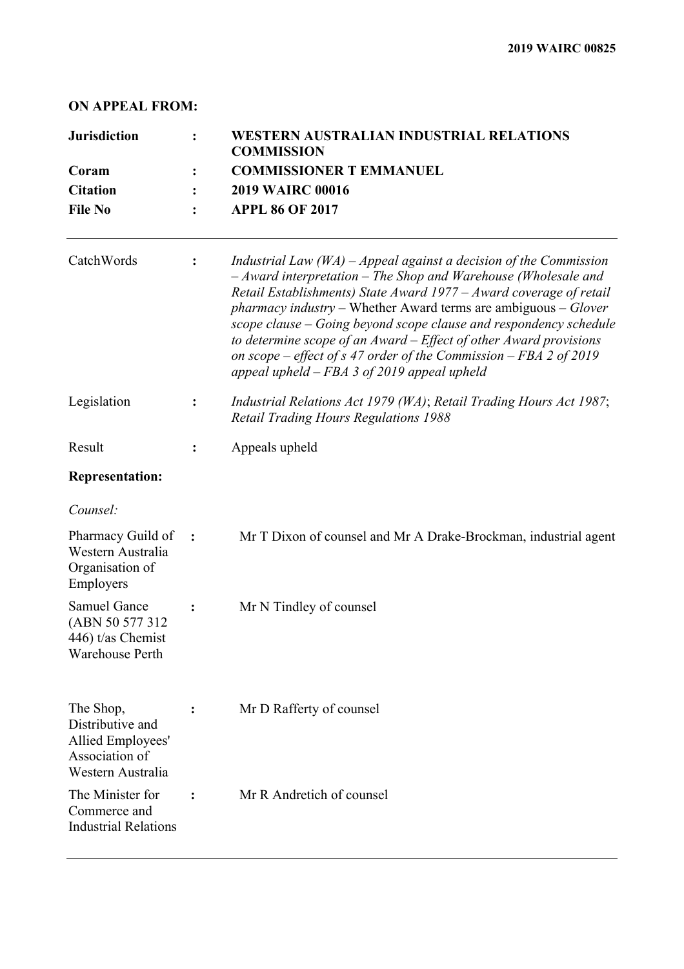### **ON APPEAL FROM:**

| <b>Jurisdiction</b><br>Coram<br><b>Citation</b><br><b>File No</b>                         | $\ddot{\cdot}$<br>$\ddot{\cdot}$ | <b>WESTERN AUSTRALIAN INDUSTRIAL RELATIONS</b><br><b>COMMISSION</b><br><b>COMMISSIONER T EMMANUEL</b><br><b>2019 WAIRC 00016</b><br><b>APPL 86 OF 2017</b> |                |                                                                                                                    |
|-------------------------------------------------------------------------------------------|----------------------------------|------------------------------------------------------------------------------------------------------------------------------------------------------------|----------------|--------------------------------------------------------------------------------------------------------------------|
|                                                                                           |                                  |                                                                                                                                                            |                |                                                                                                                    |
|                                                                                           |                                  |                                                                                                                                                            | CatchWords     | $\ddot{\cdot}$                                                                                                     |
|                                                                                           | Legislation                      |                                                                                                                                                            | $\ddot{\cdot}$ | Industrial Relations Act 1979 (WA); Retail Trading Hours Act 1987;<br><b>Retail Trading Hours Regulations 1988</b> |
| Result                                                                                    | $\ddot{\cdot}$                   | Appeals upheld                                                                                                                                             |                |                                                                                                                    |
| <b>Representation:</b>                                                                    |                                  |                                                                                                                                                            |                |                                                                                                                    |
| Counsel:                                                                                  |                                  |                                                                                                                                                            |                |                                                                                                                    |
| Pharmacy Guild of<br>Western Australia<br>Organisation of<br>Employers                    | $\ddot{\cdot}$                   | Mr T Dixon of counsel and Mr A Drake-Brockman, industrial agent                                                                                            |                |                                                                                                                    |
| Samuel Gance<br>(ABN 50 577 312)<br>$446$ ) t/as Chemist<br><b>Warehouse Perth</b>        | $\ddot{\cdot}$                   | Mr N Tindley of counsel                                                                                                                                    |                |                                                                                                                    |
| The Shop,<br>Distributive and<br>Allied Employees'<br>Association of<br>Western Australia |                                  | Mr D Rafferty of counsel                                                                                                                                   |                |                                                                                                                    |
| The Minister for<br>Commerce and<br><b>Industrial Relations</b>                           | $\ddot{\cdot}$                   | Mr R Andretich of counsel                                                                                                                                  |                |                                                                                                                    |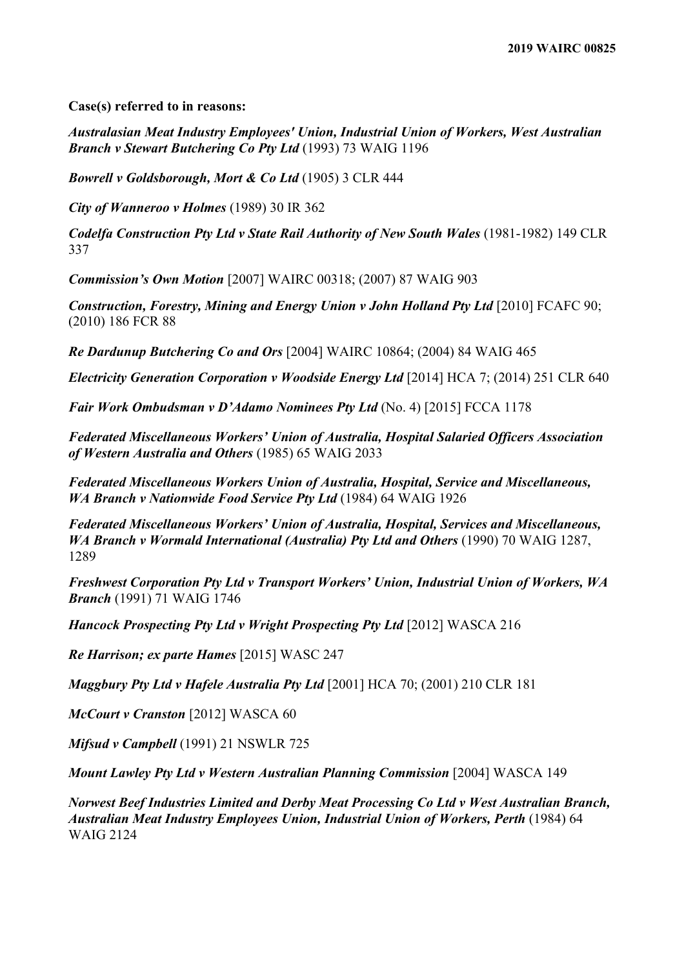**Case(s) referred to in reasons:**

*Australasian Meat Industry Employees' Union, Industrial Union of Workers, West Australian Branch v Stewart Butchering Co Pty Ltd* (1993) 73 WAIG 1196

*Bowrell v Goldsborough, Mort & Co Ltd* (1905) 3 CLR 444

*City of Wanneroo v Holmes* (1989) 30 IR 362

*Codelfa Construction Pty Ltd v State Rail Authority of New South Wales* (1981-1982) 149 CLR 337

*Commission's Own Motion* [2007] WAIRC 00318; (2007) 87 WAIG 903

*Construction, Forestry, Mining and Energy Union v John Holland Pty Ltd* [2010] FCAFC 90; (2010) 186 FCR 88

*Re Dardunup Butchering Co and Ors* [2004] WAIRC 10864; (2004) 84 WAIG 465

*Electricity Generation Corporation v Woodside Energy Ltd* [2014] HCA 7; (2014) 251 CLR 640

*Fair Work Ombudsman v D'Adamo Nominees Pty Ltd* (No. 4) [2015] FCCA 1178

*Federated Miscellaneous Workers' Union of Australia, Hospital Salaried Officers Association of Western Australia and Others* (1985) 65 WAIG 2033

*Federated Miscellaneous Workers Union of Australia, Hospital, Service and Miscellaneous, WA Branch v Nationwide Food Service Pty Ltd* (1984) 64 WAIG 1926

*Federated Miscellaneous Workers' Union of Australia, Hospital, Services and Miscellaneous, WA Branch v Wormald International (Australia) Pty Ltd and Others* (1990) 70 WAIG 1287, 1289

*Freshwest Corporation Pty Ltd v Transport Workers' Union, Industrial Union of Workers, WA Branch* (1991) 71 WAIG 1746

*Hancock Prospecting Pty Ltd v Wright Prospecting Pty Ltd* [2012] WASCA 216

*Re Harrison; ex parte Hames* [2015] WASC 247

*Maggbury Pty Ltd v Hafele Australia Pty Ltd* [2001] HCA 70; (2001) 210 CLR 181

*McCourt v Cranston* [2012] WASCA 60

*Mifsud v Campbell* (1991) 21 NSWLR 725

*Mount Lawley Pty Ltd v Western Australian Planning Commission* [2004] WASCA 149

*Norwest Beef Industries Limited and Derby Meat Processing Co Ltd v West Australian Branch, Australian Meat Industry Employees Union, Industrial Union of Workers, Perth* (1984) 64 WAIG 2124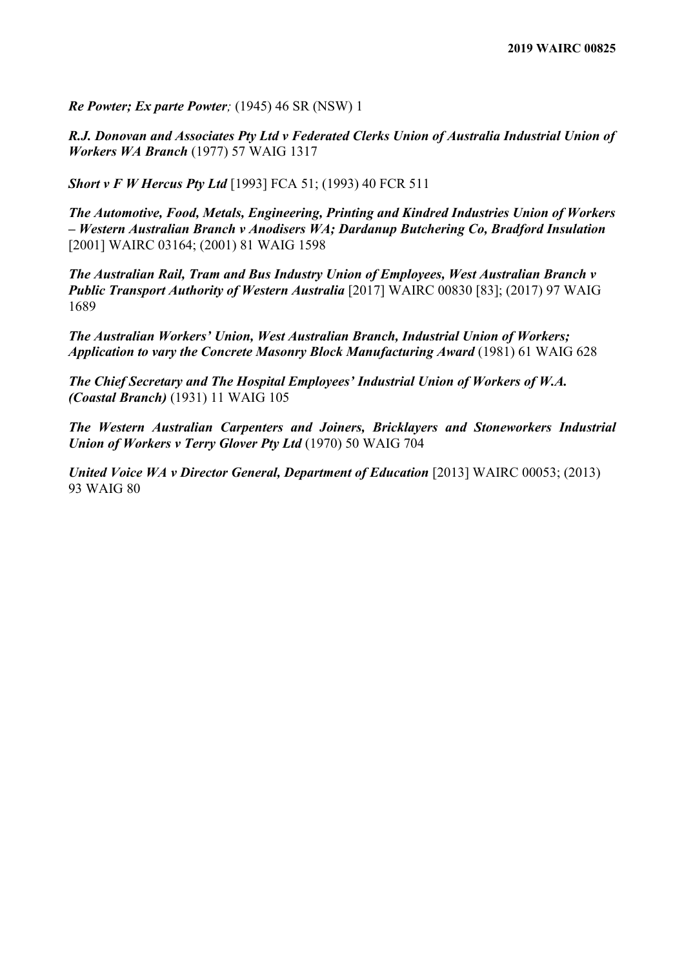*Re Powter; Ex parte Powter;* (1945) 46 SR (NSW) 1

*R.J. Donovan and Associates Pty Ltd v Federated Clerks Union of Australia Industrial Union of Workers WA Branch* (1977) 57 WAIG 1317

*Short v F W Hercus Pty Ltd* [1993] FCA 51; (1993) 40 FCR 511

*The Automotive, Food, Metals, Engineering, Printing and Kindred Industries Union of Workers – Western Australian Branch v Anodisers WA; Dardanup Butchering Co, Bradford Insulation* [2001] WAIRC 03164; (2001) 81 WAIG 1598

*The Australian Rail, Tram and Bus Industry Union of Employees, West Australian Branch v Public Transport Authority of Western Australia* [2017] WAIRC 00830 [83]; (2017) 97 WAIG 1689

*The Australian Workers' Union, West Australian Branch, Industrial Union of Workers; Application to vary the Concrete Masonry Block Manufacturing Award* (1981) 61 WAIG 628

*The Chief Secretary and The Hospital Employees' Industrial Union of Workers of W.A. (Coastal Branch)* (1931) 11 WAIG 105

*The Western Australian Carpenters and Joiners, Bricklayers and Stoneworkers Industrial Union of Workers v Terry Glover Pty Ltd* (1970) 50 WAIG 704

*United Voice WA v Director General, Department of Education* [2013] WAIRC 00053; (2013) 93 WAIG 80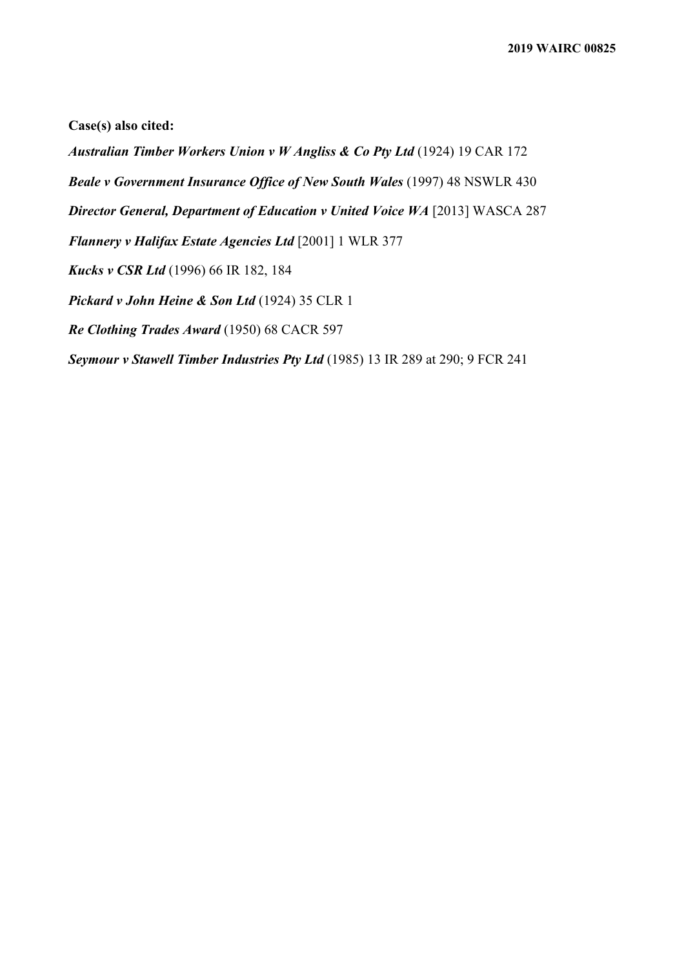**Case(s) also cited:**

*Australian Timber Workers Union v W Angliss & Co Pty Ltd* (1924) 19 CAR 172 *Beale v Government Insurance Office of New South Wales* (1997) 48 NSWLR 430 **Director General, Department of Education v United Voice WA [2013] WASCA 287** *Flannery v Halifax Estate Agencies Ltd* [2001] 1 WLR 377 *Kucks v CSR Ltd* (1996) 66 IR 182, 184 *Pickard v John Heine & Son Ltd* (1924) 35 CLR 1 *Re Clothing Trades Award* (1950) 68 CACR 597 *Seymour v Stawell Timber Industries Pty Ltd* (1985) 13 IR 289 at 290; 9 FCR 241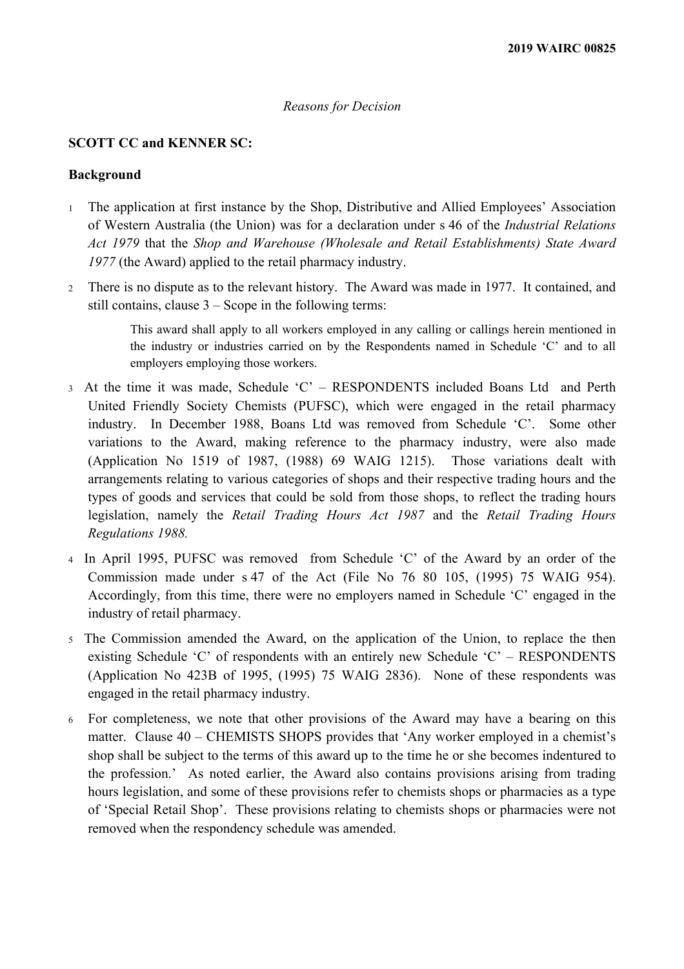#### *Reasons for Decision*

### **SCOTT CC and KENNER SC:**

#### **Background**

- <sup>1</sup> The application at first instance by the Shop, Distributive and Allied Employees' Association of Western Australia (the Union) was for a declaration under s 46 of the *Industrial Relations Act 1979* that the *Shop and Warehouse (Wholesale and Retail Establishments) State Award 1977* (the Award) applied to the retail pharmacy industry.
- <sup>2</sup> There is no dispute as to the relevant history. The Award was made in 1977. It contained, and still contains, clause 3 – Scope in the following terms:

This award shall apply to all workers employed in any calling or callings herein mentioned in the industry or industries carried on by the Respondents named in Schedule 'C' and to all employers employing those workers.

- <sup>3</sup> At the time it was made, Schedule 'C' RESPONDENTS included Boans Ltd and Perth United Friendly Society Chemists (PUFSC), which were engaged in the retail pharmacy industry. In December 1988, Boans Ltd was removed from Schedule 'C'. Some other variations to the Award, making reference to the pharmacy industry, were also made (Application No 1519 of 1987, (1988) 69 WAIG 1215). Those variations dealt with arrangements relating to various categories of shops and their respective trading hours and the types of goods and services that could be sold from those shops, to reflect the trading hours legislation, namely the *Retail Trading Hours Act 1987* and the *Retail Trading Hours Regulations 1988.*
- <sup>4</sup> In April 1995, PUFSC was removed from Schedule 'C' of the Award by an order of the Commission made under s 47 of the Act (File No 76 80 105, (1995) 75 WAIG 954). Accordingly, from this time, there were no employers named in Schedule 'C' engaged in the industry of retail pharmacy.
- <sup>5</sup> The Commission amended the Award, on the application of the Union, to replace the then existing Schedule 'C' of respondents with an entirely new Schedule 'C' – RESPONDENTS (Application No 423B of 1995, (1995) 75 WAIG 2836). None of these respondents was engaged in the retail pharmacy industry.
- <sup>6</sup> For completeness, we note that other provisions of the Award may have a bearing on this matter. Clause 40 – CHEMISTS SHOPS provides that 'Any worker employed in a chemist's shop shall be subject to the terms of this award up to the time he or she becomes indentured to the profession.' As noted earlier, the Award also contains provisions arising from trading hours legislation, and some of these provisions refer to chemists shops or pharmacies as a type of 'Special Retail Shop'. These provisions relating to chemists shops or pharmacies were not removed when the respondency schedule was amended.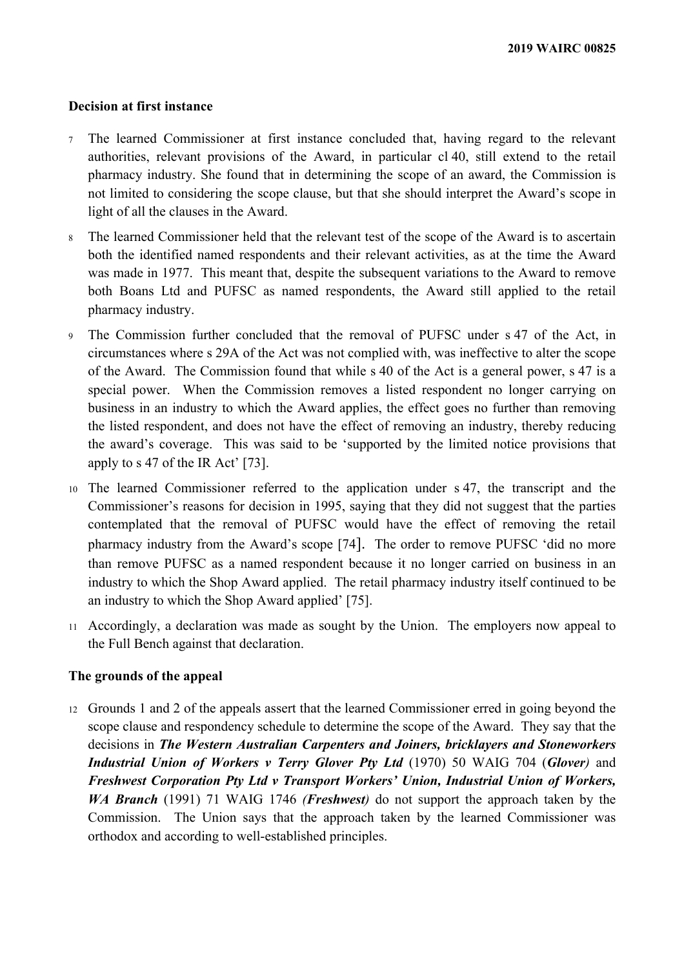#### **Decision at first instance**

- <sup>7</sup> The learned Commissioner at first instance concluded that, having regard to the relevant authorities, relevant provisions of the Award, in particular cl 40, still extend to the retail pharmacy industry. She found that in determining the scope of an award, the Commission is not limited to considering the scope clause, but that she should interpret the Award's scope in light of all the clauses in the Award.
- <sup>8</sup> The learned Commissioner held that the relevant test of the scope of the Award is to ascertain both the identified named respondents and their relevant activities, as at the time the Award was made in 1977. This meant that, despite the subsequent variations to the Award to remove both Boans Ltd and PUFSC as named respondents, the Award still applied to the retail pharmacy industry.
- <sup>9</sup> The Commission further concluded that the removal of PUFSC under s 47 of the Act, in circumstances where s 29A of the Act was not complied with, was ineffective to alter the scope of the Award. The Commission found that while s 40 of the Act is a general power, s 47 is a special power. When the Commission removes a listed respondent no longer carrying on business in an industry to which the Award applies, the effect goes no further than removing the listed respondent, and does not have the effect of removing an industry, thereby reducing the award's coverage. This was said to be 'supported by the limited notice provisions that apply to s 47 of the IR Act' [73].
- <sup>10</sup> The learned Commissioner referred to the application under s 47, the transcript and the Commissioner's reasons for decision in 1995, saying that they did not suggest that the parties contemplated that the removal of PUFSC would have the effect of removing the retail pharmacy industry from the Award's scope [74]. The order to remove PUFSC 'did no more than remove PUFSC as a named respondent because it no longer carried on business in an industry to which the Shop Award applied. The retail pharmacy industry itself continued to be an industry to which the Shop Award applied' [75].
- <sup>11</sup> Accordingly, a declaration was made as sought by the Union. The employers now appeal to the Full Bench against that declaration.

### **The grounds of the appeal**

<sup>12</sup> Grounds 1 and 2 of the appeals assert that the learned Commissioner erred in going beyond the scope clause and respondency schedule to determine the scope of the Award. They say that the decisions in *The Western Australian Carpenters and Joiners, bricklayers and Stoneworkers Industrial Union of Workers v Terry Glover Pty Ltd* (1970) 50 WAIG 704 (*Glover)* and *Freshwest Corporation Pty Ltd v Transport Workers' Union, Industrial Union of Workers, WA Branch* (1991) 71 WAIG 1746 *(Freshwest)* do not support the approach taken by the Commission. The Union says that the approach taken by the learned Commissioner was orthodox and according to well-established principles.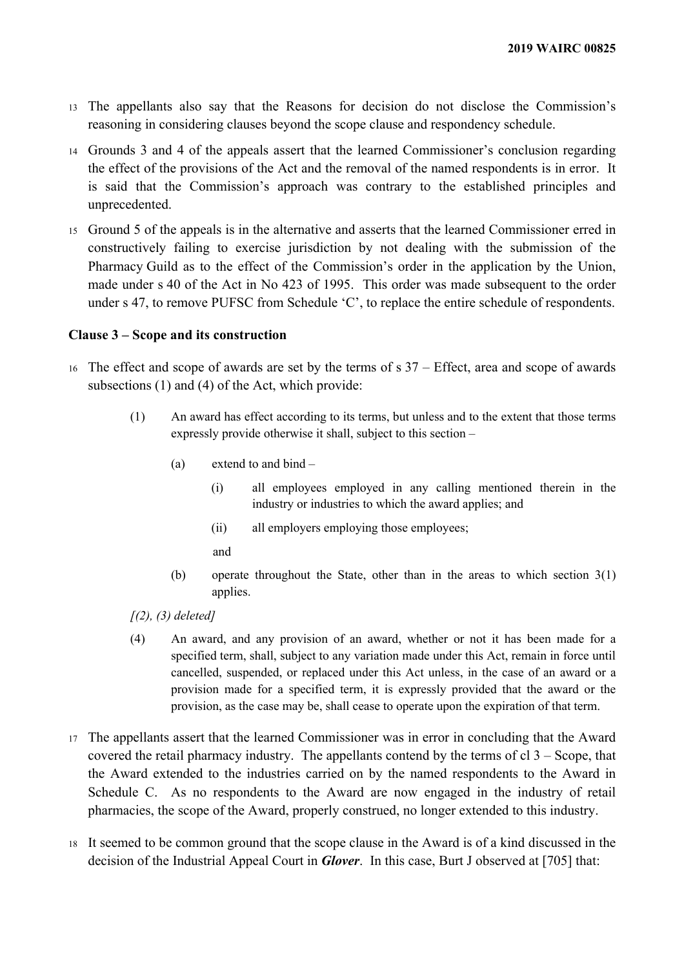- <sup>13</sup> The appellants also say that the Reasons for decision do not disclose the Commission's reasoning in considering clauses beyond the scope clause and respondency schedule.
- <sup>14</sup> Grounds 3 and 4 of the appeals assert that the learned Commissioner's conclusion regarding the effect of the provisions of the Act and the removal of the named respondents is in error. It is said that the Commission's approach was contrary to the established principles and unprecedented.
- <sup>15</sup> Ground 5 of the appeals is in the alternative and asserts that the learned Commissioner erred in constructively failing to exercise jurisdiction by not dealing with the submission of the Pharmacy Guild as to the effect of the Commission's order in the application by the Union, made under s 40 of the Act in No 423 of 1995. This order was made subsequent to the order under s 47, to remove PUFSC from Schedule 'C', to replace the entire schedule of respondents.

## **Clause 3 – Scope and its construction**

- <sup>16</sup> The effect and scope of awards are set by the terms of s 37 Effect, area and scope of awards subsections (1) and (4) of the Act, which provide:
	- (1) An award has effect according to its terms, but unless and to the extent that those terms expressly provide otherwise it shall, subject to this section –
		- (a) extend to and bind
			- (i) all employees employed in any calling mentioned therein in the industry or industries to which the award applies; and
			- (ii) all employers employing those employees;

and

- (b) operate throughout the State, other than in the areas to which section 3(1) applies.
- *[(2), (3) deleted]*
- (4) An award, and any provision of an award, whether or not it has been made for a specified term, shall, subject to any variation made under this Act, remain in force until cancelled, suspended, or replaced under this Act unless, in the case of an award or a provision made for a specified term, it is expressly provided that the award or the provision, as the case may be, shall cease to operate upon the expiration of that term.
- <sup>17</sup> The appellants assert that the learned Commissioner was in error in concluding that the Award covered the retail pharmacy industry. The appellants contend by the terms of  $cl 3 - Score$ , that the Award extended to the industries carried on by the named respondents to the Award in Schedule C. As no respondents to the Award are now engaged in the industry of retail pharmacies, the scope of the Award, properly construed, no longer extended to this industry.
- <sup>18</sup> It seemed to be common ground that the scope clause in the Award is of a kind discussed in the decision of the Industrial Appeal Court in *Glover*. In this case, Burt J observed at [705] that: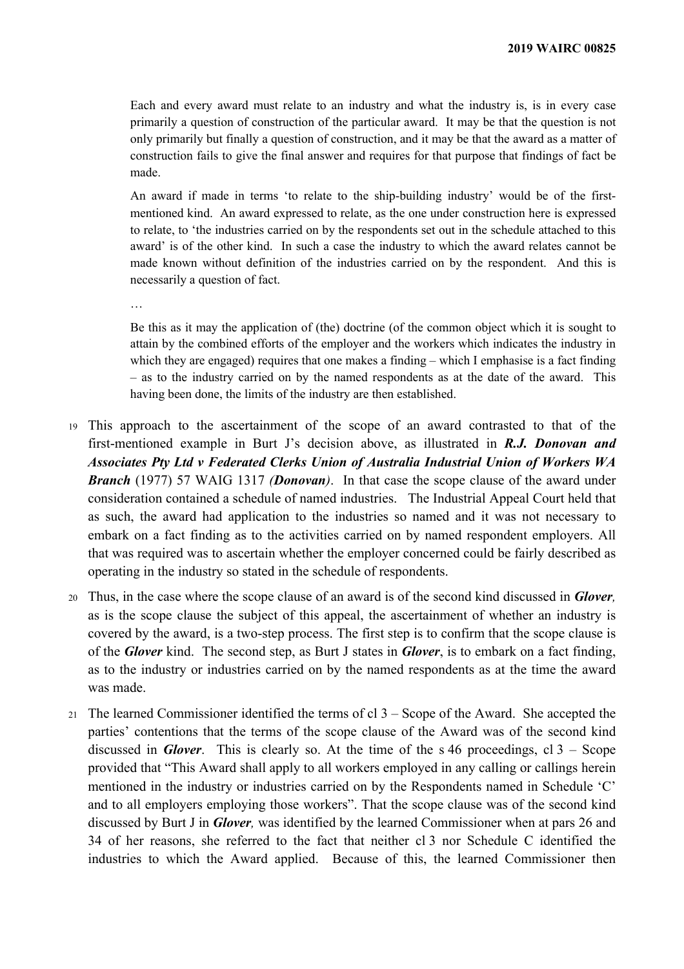Each and every award must relate to an industry and what the industry is, is in every case primarily a question of construction of the particular award. It may be that the question is not only primarily but finally a question of construction, and it may be that the award as a matter of construction fails to give the final answer and requires for that purpose that findings of fact be made.

An award if made in terms 'to relate to the ship-building industry' would be of the firstmentioned kind. An award expressed to relate, as the one under construction here is expressed to relate, to 'the industries carried on by the respondents set out in the schedule attached to this award' is of the other kind. In such a case the industry to which the award relates cannot be made known without definition of the industries carried on by the respondent. And this is necessarily a question of fact.

…

Be this as it may the application of (the) doctrine (of the common object which it is sought to attain by the combined efforts of the employer and the workers which indicates the industry in which they are engaged) requires that one makes a finding  $-$  which I emphasise is a fact finding – as to the industry carried on by the named respondents as at the date of the award. This having been done, the limits of the industry are then established.

- <sup>19</sup> This approach to the ascertainment of the scope of an award contrasted to that of the first-mentioned example in Burt J's decision above, as illustrated in *R.J. Donovan and Associates Pty Ltd v Federated Clerks Union of Australia Industrial Union of Workers WA Branch* (1977) 57 WAIG 1317 *(Donovan)*. In that case the scope clause of the award under consideration contained a schedule of named industries. The Industrial Appeal Court held that as such, the award had application to the industries so named and it was not necessary to embark on a fact finding as to the activities carried on by named respondent employers. All that was required was to ascertain whether the employer concerned could be fairly described as operating in the industry so stated in the schedule of respondents.
- <sup>20</sup> Thus, in the case where the scope clause of an award is of the second kind discussed in *Glover,* as is the scope clause the subject of this appeal, the ascertainment of whether an industry is covered by the award, is a two-step process. The first step is to confirm that the scope clause is of the *Glover* kind. The second step, as Burt J states in *Glover*, is to embark on a fact finding, as to the industry or industries carried on by the named respondents as at the time the award was made.
- 21 The learned Commissioner identified the terms of cl  $3 -$ Scope of the Award. She accepted the parties' contentions that the terms of the scope clause of the Award was of the second kind discussed in *Glover*. This is clearly so. At the time of the  $s$  46 proceedings, cl  $3 -$  Scope provided that "This Award shall apply to all workers employed in any calling or callings herein mentioned in the industry or industries carried on by the Respondents named in Schedule 'C' and to all employers employing those workers". That the scope clause was of the second kind discussed by Burt J in *Glover,* was identified by the learned Commissioner when at pars 26 and 34 of her reasons, she referred to the fact that neither cl 3 nor Schedule C identified the industries to which the Award applied. Because of this, the learned Commissioner then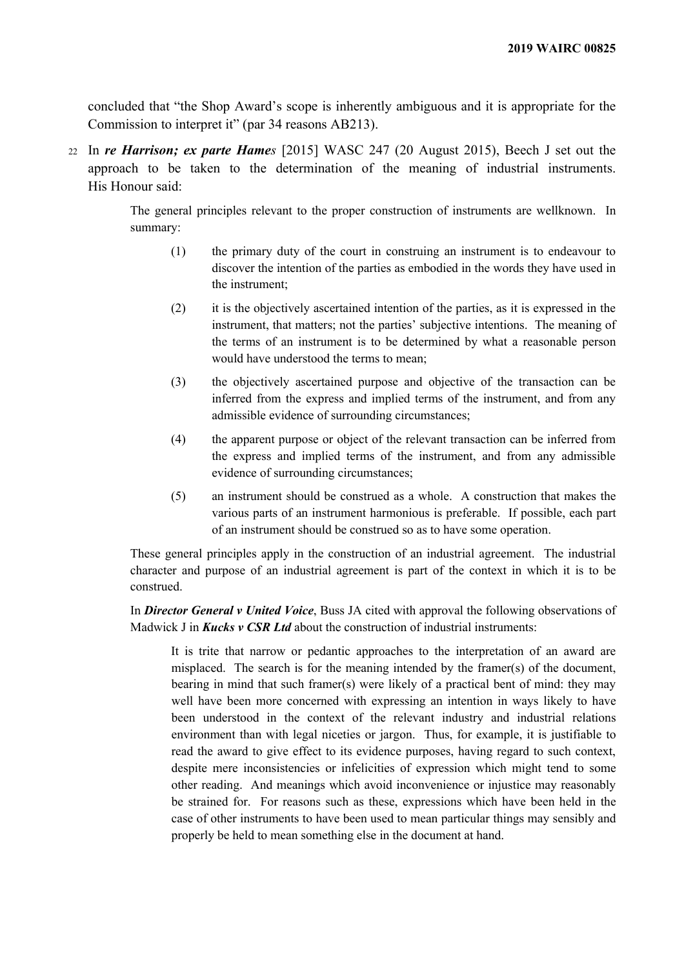concluded that "the Shop Award's scope is inherently ambiguous and it is appropriate for the Commission to interpret it" (par 34 reasons AB213).

<sup>22</sup> In *re Harrison; ex parte Hames* [2015] WASC 247 (20 August 2015), Beech J set out the approach to be taken to the determination of the meaning of industrial instruments. His Honour said:

> The general principles relevant to the proper construction of instruments are wellknown. In summary:

- (1) the primary duty of the court in construing an instrument is to endeavour to discover the intention of the parties as embodied in the words they have used in the instrument;
- (2) it is the objectively ascertained intention of the parties, as it is expressed in the instrument, that matters; not the parties' subjective intentions. The meaning of the terms of an instrument is to be determined by what a reasonable person would have understood the terms to mean;
- (3) the objectively ascertained purpose and objective of the transaction can be inferred from the express and implied terms of the instrument, and from any admissible evidence of surrounding circumstances;
- (4) the apparent purpose or object of the relevant transaction can be inferred from the express and implied terms of the instrument, and from any admissible evidence of surrounding circumstances;
- (5) an instrument should be construed as a whole. A construction that makes the various parts of an instrument harmonious is preferable. If possible, each part of an instrument should be construed so as to have some operation.

These general principles apply in the construction of an industrial agreement. The industrial character and purpose of an industrial agreement is part of the context in which it is to be construed.

In *Director General v United Voice*, Buss JA cited with approval the following observations of Madwick J in *Kucks v CSR Ltd* about the construction of industrial instruments:

It is trite that narrow or pedantic approaches to the interpretation of an award are misplaced. The search is for the meaning intended by the framer(s) of the document, bearing in mind that such framer(s) were likely of a practical bent of mind: they may well have been more concerned with expressing an intention in ways likely to have been understood in the context of the relevant industry and industrial relations environment than with legal niceties or jargon. Thus, for example, it is justifiable to read the award to give effect to its evidence purposes, having regard to such context, despite mere inconsistencies or infelicities of expression which might tend to some other reading. And meanings which avoid inconvenience or injustice may reasonably be strained for. For reasons such as these, expressions which have been held in the case of other instruments to have been used to mean particular things may sensibly and properly be held to mean something else in the document at hand.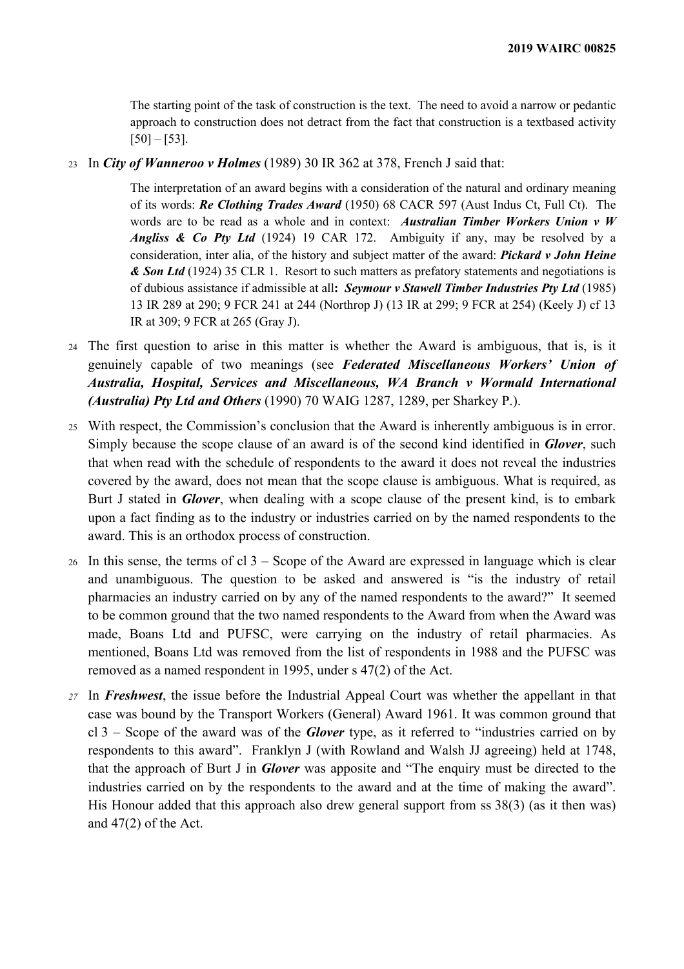The starting point of the task of construction is the text. The need to avoid a narrow or pedantic approach to construction does not detract from the fact that construction is a textbased activity  $[50] - [53]$ .

<sup>23</sup> In *City of Wanneroo v Holmes* (1989) 30 IR 362 at 378, French J said that:

The interpretation of an award begins with a consideration of the natural and ordinary meaning of its words: *Re Clothing Trades Award* (1950) 68 CACR 597 (Aust Indus Ct, Full Ct). The words are to be read as a whole and in context: *Australian Timber Workers Union v W Angliss & Co Pty Ltd* (1924) 19 CAR 172. Ambiguity if any, may be resolved by a consideration, inter alia, of the history and subject matter of the award: *Pickard v John Heine & Son Ltd* (1924) 35 CLR 1. Resort to such matters as prefatory statements and negotiations is of dubious assistance if admissible at all**:** *Seymour v Stawell Timber Industries Pty Ltd* (1985) 13 IR 289 at 290; 9 FCR 241 at 244 (Northrop J) (13 IR at 299; 9 FCR at 254) (Keely J) cf 13 IR at 309; 9 FCR at 265 (Gray J).

- <sup>24</sup> The first question to arise in this matter is whether the Award is ambiguous, that is, is it genuinely capable of two meanings (see *Federated Miscellaneous Workers' Union of Australia, Hospital, Services and Miscellaneous, WA Branch v Wormald International (Australia) Pty Ltd and Others* (1990) 70 WAIG 1287, 1289, per Sharkey P.).
- <sup>25</sup> With respect, the Commission's conclusion that the Award is inherently ambiguous is in error. Simply because the scope clause of an award is of the second kind identified in *Glover*, such that when read with the schedule of respondents to the award it does not reveal the industries covered by the award, does not mean that the scope clause is ambiguous. What is required, as Burt J stated in *Glover*, when dealing with a scope clause of the present kind, is to embark upon a fact finding as to the industry or industries carried on by the named respondents to the award. This is an orthodox process of construction.
- 26 In this sense, the terms of cl  $3 -$  Scope of the Award are expressed in language which is clear and unambiguous. The question to be asked and answered is "is the industry of retail pharmacies an industry carried on by any of the named respondents to the award?" It seemed to be common ground that the two named respondents to the Award from when the Award was made, Boans Ltd and PUFSC, were carrying on the industry of retail pharmacies. As mentioned, Boans Ltd was removed from the list of respondents in 1988 and the PUFSC was removed as a named respondent in 1995, under s 47(2) of the Act.
- *<sup>27</sup>* In *Freshwest*, the issue before the Industrial Appeal Court was whether the appellant in that case was bound by the Transport Workers (General) Award 1961. It was common ground that cl 3 – Scope of the award was of the *Glover* type, as it referred to "industries carried on by respondents to this award". Franklyn J (with Rowland and Walsh JJ agreeing) held at 1748, that the approach of Burt J in *Glover* was apposite and "The enquiry must be directed to the industries carried on by the respondents to the award and at the time of making the award". His Honour added that this approach also drew general support from ss 38(3) (as it then was) and 47(2) of the Act.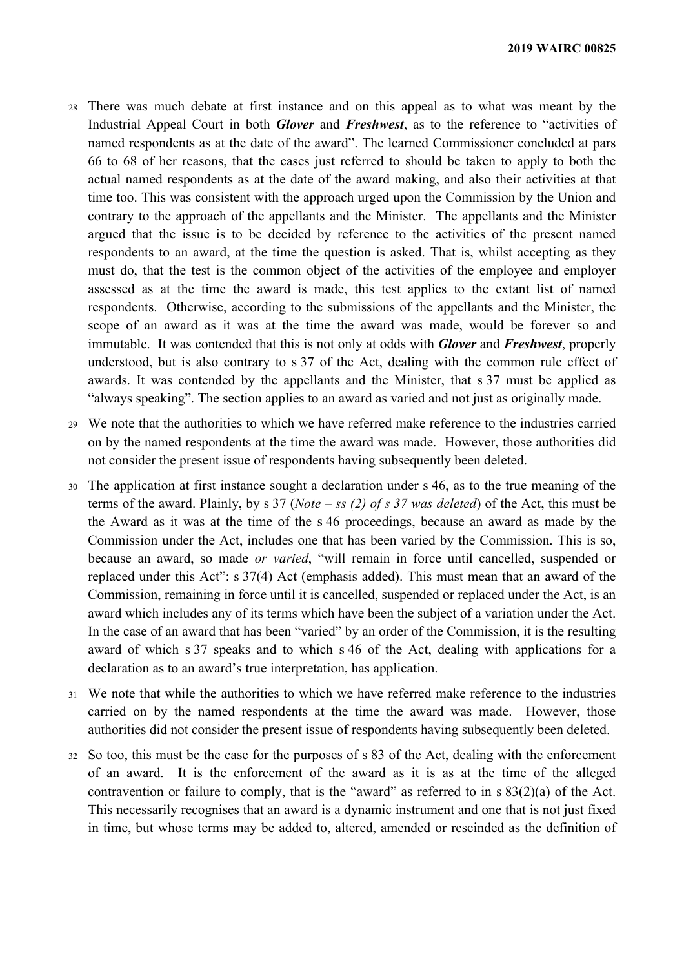- <sup>28</sup> There was much debate at first instance and on this appeal as to what was meant by the Industrial Appeal Court in both *Glover* and *Freshwest*, as to the reference to "activities of named respondents as at the date of the award". The learned Commissioner concluded at pars 66 to 68 of her reasons, that the cases just referred to should be taken to apply to both the actual named respondents as at the date of the award making, and also their activities at that time too. This was consistent with the approach urged upon the Commission by the Union and contrary to the approach of the appellants and the Minister. The appellants and the Minister argued that the issue is to be decided by reference to the activities of the present named respondents to an award, at the time the question is asked. That is, whilst accepting as they must do, that the test is the common object of the activities of the employee and employer assessed as at the time the award is made, this test applies to the extant list of named respondents. Otherwise, according to the submissions of the appellants and the Minister, the scope of an award as it was at the time the award was made, would be forever so and immutable. It was contended that this is not only at odds with *Glover* and *Freshwest*, properly understood, but is also contrary to s 37 of the Act, dealing with the common rule effect of awards. It was contended by the appellants and the Minister, that s 37 must be applied as "always speaking". The section applies to an award as varied and not just as originally made.
- <sup>29</sup> We note that the authorities to which we have referred make reference to the industries carried on by the named respondents at the time the award was made. However, those authorities did not consider the present issue of respondents having subsequently been deleted.
- <sup>30</sup> The application at first instance sought a declaration under s 46, as to the true meaning of the terms of the award. Plainly, by s 37 (*Note – ss (2) of s 37 was deleted*) of the Act, this must be the Award as it was at the time of the s 46 proceedings, because an award as made by the Commission under the Act, includes one that has been varied by the Commission. This is so, because an award, so made *or varied*, "will remain in force until cancelled, suspended or replaced under this Act": s 37(4) Act (emphasis added). This must mean that an award of the Commission, remaining in force until it is cancelled, suspended or replaced under the Act, is an award which includes any of its terms which have been the subject of a variation under the Act. In the case of an award that has been "varied" by an order of the Commission, it is the resulting award of which s 37 speaks and to which s 46 of the Act, dealing with applications for a declaration as to an award's true interpretation, has application.
- <sup>31</sup> We note that while the authorities to which we have referred make reference to the industries carried on by the named respondents at the time the award was made. However, those authorities did not consider the present issue of respondents having subsequently been deleted.
- <sup>32</sup> So too, this must be the case for the purposes of s 83 of the Act, dealing with the enforcement of an award. It is the enforcement of the award as it is as at the time of the alleged contravention or failure to comply, that is the "award" as referred to in  $s 83(2)(a)$  of the Act. This necessarily recognises that an award is a dynamic instrument and one that is not just fixed in time, but whose terms may be added to, altered, amended or rescinded as the definition of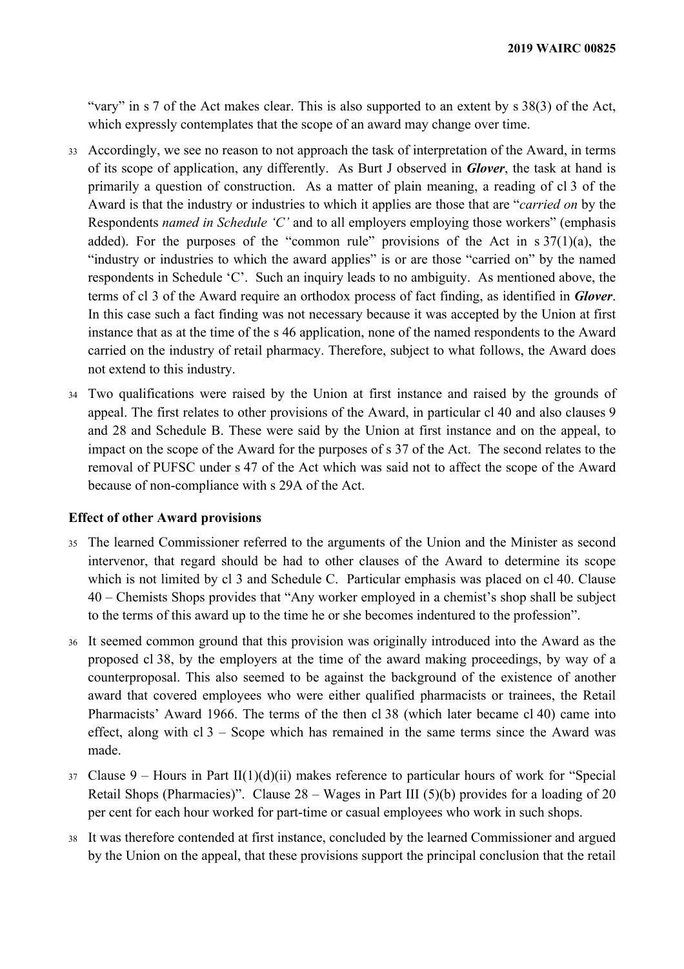"vary" in s 7 of the Act makes clear. This is also supported to an extent by s 38(3) of the Act, which expressly contemplates that the scope of an award may change over time.

- <sup>33</sup> Accordingly, we see no reason to not approach the task of interpretation of the Award, in terms of its scope of application, any differently. As Burt J observed in *Glover*, the task at hand is primarily a question of construction. As a matter of plain meaning, a reading of cl 3 of the Award is that the industry or industries to which it applies are those that are "*carried on* by the Respondents *named in Schedule 'C'* and to all employers employing those workers" (emphasis added). For the purposes of the "common rule" provisions of the Act in  $s \frac{37(1)}{a}$ , the "industry or industries to which the award applies" is or are those "carried on" by the named respondents in Schedule 'C'. Such an inquiry leads to no ambiguity. As mentioned above, the terms of cl 3 of the Award require an orthodox process of fact finding, as identified in *Glover*. In this case such a fact finding was not necessary because it was accepted by the Union at first instance that as at the time of the s 46 application, none of the named respondents to the Award carried on the industry of retail pharmacy. Therefore, subject to what follows, the Award does not extend to this industry.
- <sup>34</sup> Two qualifications were raised by the Union at first instance and raised by the grounds of appeal. The first relates to other provisions of the Award, in particular cl 40 and also clauses 9 and 28 and Schedule B. These were said by the Union at first instance and on the appeal, to impact on the scope of the Award for the purposes of s 37 of the Act. The second relates to the removal of PUFSC under s 47 of the Act which was said not to affect the scope of the Award because of non-compliance with s 29A of the Act.

## **Effect of other Award provisions**

- <sup>35</sup> The learned Commissioner referred to the arguments of the Union and the Minister as second intervenor, that regard should be had to other clauses of the Award to determine its scope which is not limited by cl 3 and Schedule C. Particular emphasis was placed on cl 40. Clause 40 – Chemists Shops provides that "Any worker employed in a chemist's shop shall be subject to the terms of this award up to the time he or she becomes indentured to the profession".
- <sup>36</sup> It seemed common ground that this provision was originally introduced into the Award as the proposed cl 38, by the employers at the time of the award making proceedings, by way of a counterproposal. This also seemed to be against the background of the existence of another award that covered employees who were either qualified pharmacists or trainees, the Retail Pharmacists' Award 1966. The terms of the then cl 38 (which later became cl 40) came into effect, along with cl 3 – Scope which has remained in the same terms since the Award was made.
- $37$  Clause 9 Hours in Part II(1)(d)(ii) makes reference to particular hours of work for "Special Retail Shops (Pharmacies)". Clause  $28 - Wages$  in Part III (5)(b) provides for a loading of 20 per cent for each hour worked for part-time or casual employees who work in such shops.
- <sup>38</sup> It was therefore contended at first instance, concluded by the learned Commissioner and argued by the Union on the appeal, that these provisions support the principal conclusion that the retail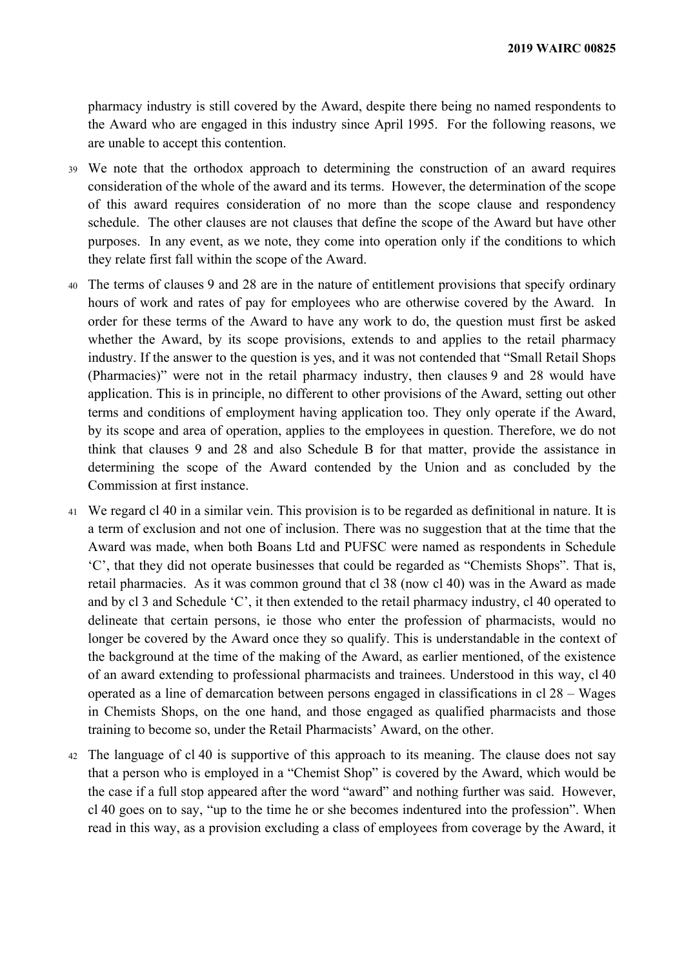pharmacy industry is still covered by the Award, despite there being no named respondents to the Award who are engaged in this industry since April 1995. For the following reasons, we are unable to accept this contention.

- <sup>39</sup> We note that the orthodox approach to determining the construction of an award requires consideration of the whole of the award and its terms. However, the determination of the scope of this award requires consideration of no more than the scope clause and respondency schedule. The other clauses are not clauses that define the scope of the Award but have other purposes. In any event, as we note, they come into operation only if the conditions to which they relate first fall within the scope of the Award.
- <sup>40</sup> The terms of clauses 9 and 28 are in the nature of entitlement provisions that specify ordinary hours of work and rates of pay for employees who are otherwise covered by the Award. In order for these terms of the Award to have any work to do, the question must first be asked whether the Award, by its scope provisions, extends to and applies to the retail pharmacy industry. If the answer to the question is yes, and it was not contended that "Small Retail Shops (Pharmacies)" were not in the retail pharmacy industry, then clauses 9 and 28 would have application. This is in principle, no different to other provisions of the Award, setting out other terms and conditions of employment having application too. They only operate if the Award, by its scope and area of operation, applies to the employees in question. Therefore, we do not think that clauses 9 and 28 and also Schedule B for that matter, provide the assistance in determining the scope of the Award contended by the Union and as concluded by the Commission at first instance.
- <sup>41</sup> We regard cl 40 in a similar vein. This provision is to be regarded as definitional in nature. It is a term of exclusion and not one of inclusion. There was no suggestion that at the time that the Award was made, when both Boans Ltd and PUFSC were named as respondents in Schedule 'C', that they did not operate businesses that could be regarded as "Chemists Shops". That is, retail pharmacies. As it was common ground that cl 38 (now cl 40) was in the Award as made and by cl 3 and Schedule 'C', it then extended to the retail pharmacy industry, cl 40 operated to delineate that certain persons, ie those who enter the profession of pharmacists, would no longer be covered by the Award once they so qualify. This is understandable in the context of the background at the time of the making of the Award, as earlier mentioned, of the existence of an award extending to professional pharmacists and trainees. Understood in this way, cl 40 operated as a line of demarcation between persons engaged in classifications in cl 28 – Wages in Chemists Shops, on the one hand, and those engaged as qualified pharmacists and those training to become so, under the Retail Pharmacists' Award, on the other.
- <sup>42</sup> The language of cl 40 is supportive of this approach to its meaning. The clause does not say that a person who is employed in a "Chemist Shop" is covered by the Award, which would be the case if a full stop appeared after the word "award" and nothing further was said. However, cl 40 goes on to say, "up to the time he or she becomes indentured into the profession". When read in this way, as a provision excluding a class of employees from coverage by the Award, it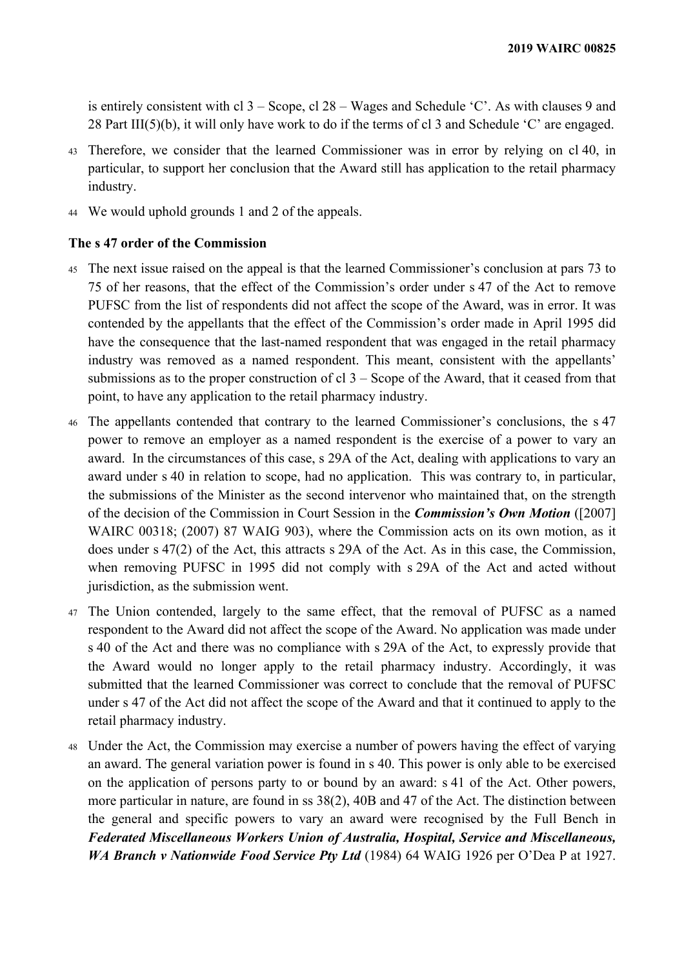is entirely consistent with cl 3 – Scope, cl 28 – Wages and Schedule 'C'. As with clauses 9 and 28 Part III(5)(b), it will only have work to do if the terms of cl 3 and Schedule 'C' are engaged.

- <sup>43</sup> Therefore, we consider that the learned Commissioner was in error by relying on cl 40, in particular, to support her conclusion that the Award still has application to the retail pharmacy industry.
- <sup>44</sup> We would uphold grounds 1 and 2 of the appeals.

## **The s 47 order of the Commission**

- <sup>45</sup> The next issue raised on the appeal is that the learned Commissioner's conclusion at pars 73 to 75 of her reasons, that the effect of the Commission's order under s 47 of the Act to remove PUFSC from the list of respondents did not affect the scope of the Award, was in error. It was contended by the appellants that the effect of the Commission's order made in April 1995 did have the consequence that the last-named respondent that was engaged in the retail pharmacy industry was removed as a named respondent. This meant, consistent with the appellants' submissions as to the proper construction of cl  $3 -$ Scope of the Award, that it ceased from that point, to have any application to the retail pharmacy industry.
- <sup>46</sup> The appellants contended that contrary to the learned Commissioner's conclusions, the s 47 power to remove an employer as a named respondent is the exercise of a power to vary an award. In the circumstances of this case, s 29A of the Act, dealing with applications to vary an award under s 40 in relation to scope, had no application. This was contrary to, in particular, the submissions of the Minister as the second intervenor who maintained that, on the strength of the decision of the Commission in Court Session in the *Commission's Own Motion* ([2007] WAIRC 00318; (2007) 87 WAIG 903), where the Commission acts on its own motion, as it does under s 47(2) of the Act, this attracts s 29A of the Act. As in this case, the Commission, when removing PUFSC in 1995 did not comply with s 29A of the Act and acted without jurisdiction, as the submission went.
- <sup>47</sup> The Union contended, largely to the same effect, that the removal of PUFSC as a named respondent to the Award did not affect the scope of the Award. No application was made under s 40 of the Act and there was no compliance with s 29A of the Act, to expressly provide that the Award would no longer apply to the retail pharmacy industry. Accordingly, it was submitted that the learned Commissioner was correct to conclude that the removal of PUFSC under s 47 of the Act did not affect the scope of the Award and that it continued to apply to the retail pharmacy industry.
- <sup>48</sup> Under the Act, the Commission may exercise a number of powers having the effect of varying an award. The general variation power is found in s 40. This power is only able to be exercised on the application of persons party to or bound by an award: s 41 of the Act. Other powers, more particular in nature, are found in ss 38(2), 40B and 47 of the Act. The distinction between the general and specific powers to vary an award were recognised by the Full Bench in *Federated Miscellaneous Workers Union of Australia, Hospital, Service and Miscellaneous, WA Branch v Nationwide Food Service Pty Ltd* (1984) 64 WAIG 1926 per O'Dea P at 1927.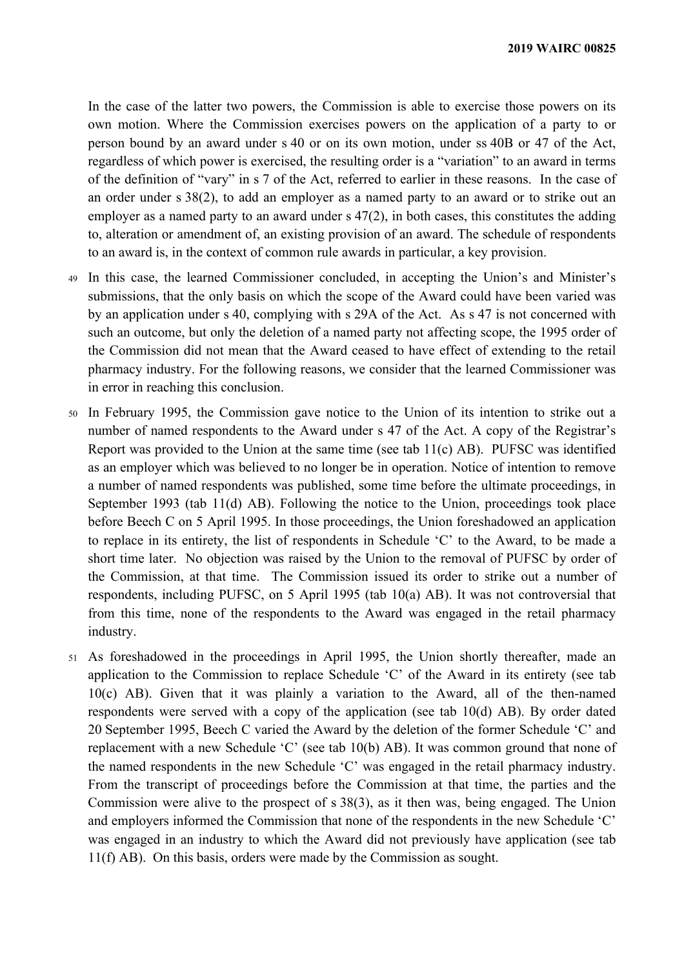In the case of the latter two powers, the Commission is able to exercise those powers on its own motion. Where the Commission exercises powers on the application of a party to or person bound by an award under s 40 or on its own motion, under ss 40B or 47 of the Act, regardless of which power is exercised, the resulting order is a "variation" to an award in terms of the definition of "vary" in s 7 of the Act, referred to earlier in these reasons. In the case of an order under s 38(2), to add an employer as a named party to an award or to strike out an employer as a named party to an award under s 47(2), in both cases, this constitutes the adding to, alteration or amendment of, an existing provision of an award. The schedule of respondents to an award is, in the context of common rule awards in particular, a key provision.

- <sup>49</sup> In this case, the learned Commissioner concluded, in accepting the Union's and Minister's submissions, that the only basis on which the scope of the Award could have been varied was by an application under s 40, complying with s 29A of the Act. As s 47 is not concerned with such an outcome, but only the deletion of a named party not affecting scope, the 1995 order of the Commission did not mean that the Award ceased to have effect of extending to the retail pharmacy industry. For the following reasons, we consider that the learned Commissioner was in error in reaching this conclusion.
- <sup>50</sup> In February 1995, the Commission gave notice to the Union of its intention to strike out a number of named respondents to the Award under s 47 of the Act. A copy of the Registrar's Report was provided to the Union at the same time (see tab 11(c) AB). PUFSC was identified as an employer which was believed to no longer be in operation. Notice of intention to remove a number of named respondents was published, some time before the ultimate proceedings, in September 1993 (tab 11(d) AB). Following the notice to the Union, proceedings took place before Beech C on 5 April 1995. In those proceedings, the Union foreshadowed an application to replace in its entirety, the list of respondents in Schedule 'C' to the Award, to be made a short time later. No objection was raised by the Union to the removal of PUFSC by order of the Commission, at that time. The Commission issued its order to strike out a number of respondents, including PUFSC, on 5 April 1995 (tab 10(a) AB). It was not controversial that from this time, none of the respondents to the Award was engaged in the retail pharmacy industry.
- <sup>51</sup> As foreshadowed in the proceedings in April 1995, the Union shortly thereafter, made an application to the Commission to replace Schedule 'C' of the Award in its entirety (see tab 10(c) AB). Given that it was plainly a variation to the Award, all of the then-named respondents were served with a copy of the application (see tab 10(d) AB). By order dated 20 September 1995, Beech C varied the Award by the deletion of the former Schedule 'C' and replacement with a new Schedule 'C' (see tab 10(b) AB). It was common ground that none of the named respondents in the new Schedule 'C' was engaged in the retail pharmacy industry. From the transcript of proceedings before the Commission at that time, the parties and the Commission were alive to the prospect of s 38(3), as it then was, being engaged. The Union and employers informed the Commission that none of the respondents in the new Schedule 'C' was engaged in an industry to which the Award did not previously have application (see tab 11(f) AB). On this basis, orders were made by the Commission as sought.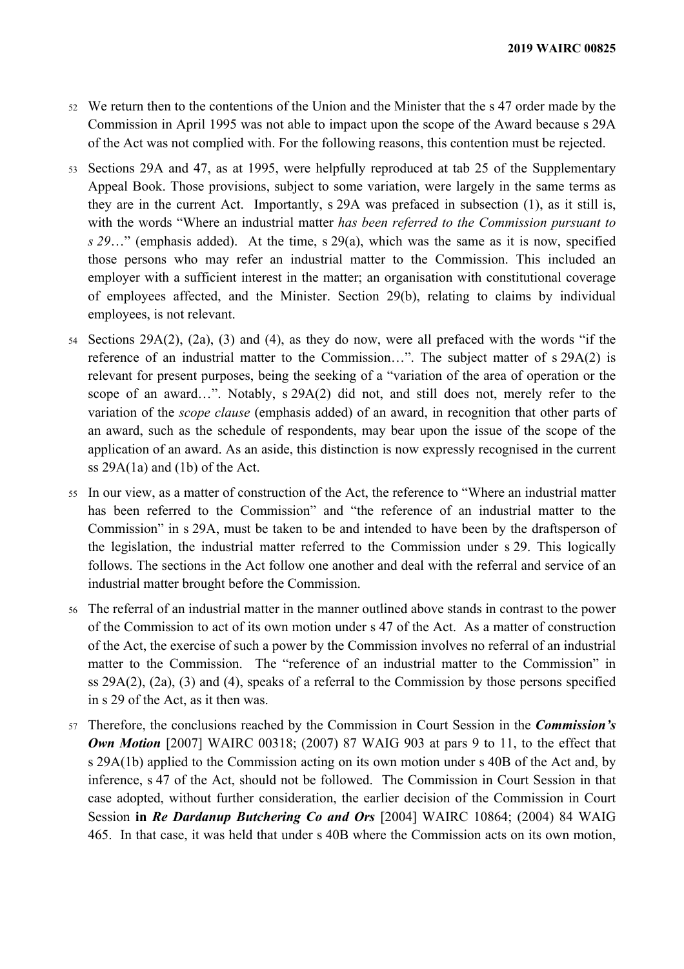- <sup>52</sup> We return then to the contentions of the Union and the Minister that the s 47 order made by the Commission in April 1995 was not able to impact upon the scope of the Award because s 29A of the Act was not complied with. For the following reasons, this contention must be rejected.
- <sup>53</sup> Sections 29A and 47, as at 1995, were helpfully reproduced at tab 25 of the Supplementary Appeal Book. Those provisions, subject to some variation, were largely in the same terms as they are in the current Act. Importantly, s 29A was prefaced in subsection (1), as it still is, with the words "Where an industrial matter *has been referred to the Commission pursuant to s 29*…" (emphasis added). At the time, s 29(a), which was the same as it is now, specified those persons who may refer an industrial matter to the Commission. This included an employer with a sufficient interest in the matter; an organisation with constitutional coverage of employees affected, and the Minister. Section 29(b), relating to claims by individual employees, is not relevant.
- <sup>54</sup> Sections 29A(2), (2a), (3) and (4), as they do now, were all prefaced with the words "if the reference of an industrial matter to the Commission…". The subject matter of s 29A(2) is relevant for present purposes, being the seeking of a "variation of the area of operation or the scope of an award…". Notably, s 29A(2) did not, and still does not, merely refer to the variation of the *scope clause* (emphasis added) of an award, in recognition that other parts of an award, such as the schedule of respondents, may bear upon the issue of the scope of the application of an award. As an aside, this distinction is now expressly recognised in the current ss 29A(1a) and (1b) of the Act.
- <sup>55</sup> In our view, as a matter of construction of the Act, the reference to "Where an industrial matter has been referred to the Commission" and "the reference of an industrial matter to the Commission" in s 29A, must be taken to be and intended to have been by the draftsperson of the legislation, the industrial matter referred to the Commission under s 29. This logically follows. The sections in the Act follow one another and deal with the referral and service of an industrial matter brought before the Commission.
- <sup>56</sup> The referral of an industrial matter in the manner outlined above stands in contrast to the power of the Commission to act of its own motion under s 47 of the Act. As a matter of construction of the Act, the exercise of such a power by the Commission involves no referral of an industrial matter to the Commission. The "reference of an industrial matter to the Commission" in ss 29A(2), (2a), (3) and (4), speaks of a referral to the Commission by those persons specified in s 29 of the Act, as it then was.
- <sup>57</sup> Therefore, the conclusions reached by the Commission in Court Session in the *Commission's Own Motion* [2007] WAIRC 00318; (2007) 87 WAIG 903 at pars 9 to 11, to the effect that s 29A(1b) applied to the Commission acting on its own motion under s 40B of the Act and, by inference, s 47 of the Act, should not be followed. The Commission in Court Session in that case adopted, without further consideration, the earlier decision of the Commission in Court Session **in** *Re Dardanup Butchering Co and Ors* [2004] WAIRC 10864; (2004) 84 WAIG 465. In that case, it was held that under s 40B where the Commission acts on its own motion,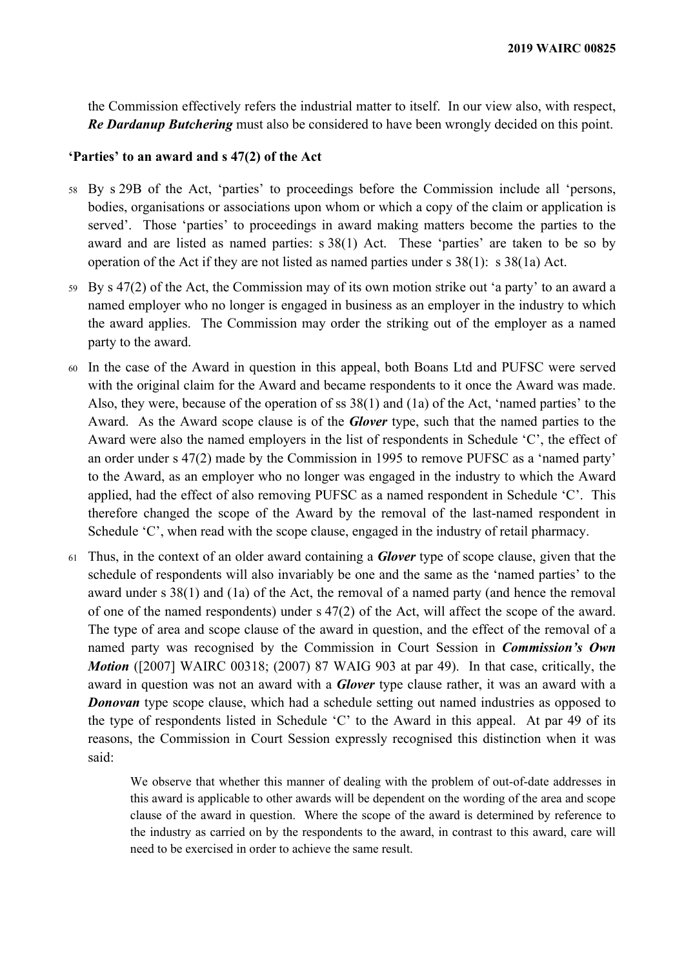the Commission effectively refers the industrial matter to itself. In our view also, with respect, *Re Dardanup Butchering* must also be considered to have been wrongly decided on this point.

### **'Parties' to an award and s 47(2) of the Act**

- <sup>58</sup> By s 29B of the Act, 'parties' to proceedings before the Commission include all 'persons, bodies, organisations or associations upon whom or which a copy of the claim or application is served'. Those 'parties' to proceedings in award making matters become the parties to the award and are listed as named parties: s 38(1) Act. These 'parties' are taken to be so by operation of the Act if they are not listed as named parties under s 38(1): s 38(1a) Act.
- <sup>59</sup> By s 47(2) of the Act, the Commission may of its own motion strike out 'a party' to an award a named employer who no longer is engaged in business as an employer in the industry to which the award applies. The Commission may order the striking out of the employer as a named party to the award.
- <sup>60</sup> In the case of the Award in question in this appeal, both Boans Ltd and PUFSC were served with the original claim for the Award and became respondents to it once the Award was made. Also, they were, because of the operation of ss 38(1) and (1a) of the Act, 'named parties' to the Award. As the Award scope clause is of the *Glover* type, such that the named parties to the Award were also the named employers in the list of respondents in Schedule 'C', the effect of an order under s 47(2) made by the Commission in 1995 to remove PUFSC as a 'named party' to the Award, as an employer who no longer was engaged in the industry to which the Award applied, had the effect of also removing PUFSC as a named respondent in Schedule 'C'. This therefore changed the scope of the Award by the removal of the last-named respondent in Schedule 'C', when read with the scope clause, engaged in the industry of retail pharmacy.
- <sup>61</sup> Thus, in the context of an older award containing a *Glover* type of scope clause, given that the schedule of respondents will also invariably be one and the same as the 'named parties' to the award under s 38(1) and (1a) of the Act, the removal of a named party (and hence the removal of one of the named respondents) under s 47(2) of the Act, will affect the scope of the award. The type of area and scope clause of the award in question, and the effect of the removal of a named party was recognised by the Commission in Court Session in *Commission's Own Motion* ([2007] WAIRC 00318; (2007) 87 WAIG 903 at par 49). In that case, critically, the award in question was not an award with a *Glover* type clause rather, it was an award with a *Donovan* type scope clause, which had a schedule setting out named industries as opposed to the type of respondents listed in Schedule 'C' to the Award in this appeal. At par 49 of its reasons, the Commission in Court Session expressly recognised this distinction when it was said:

We observe that whether this manner of dealing with the problem of out-of-date addresses in this award is applicable to other awards will be dependent on the wording of the area and scope clause of the award in question. Where the scope of the award is determined by reference to the industry as carried on by the respondents to the award, in contrast to this award, care will need to be exercised in order to achieve the same result.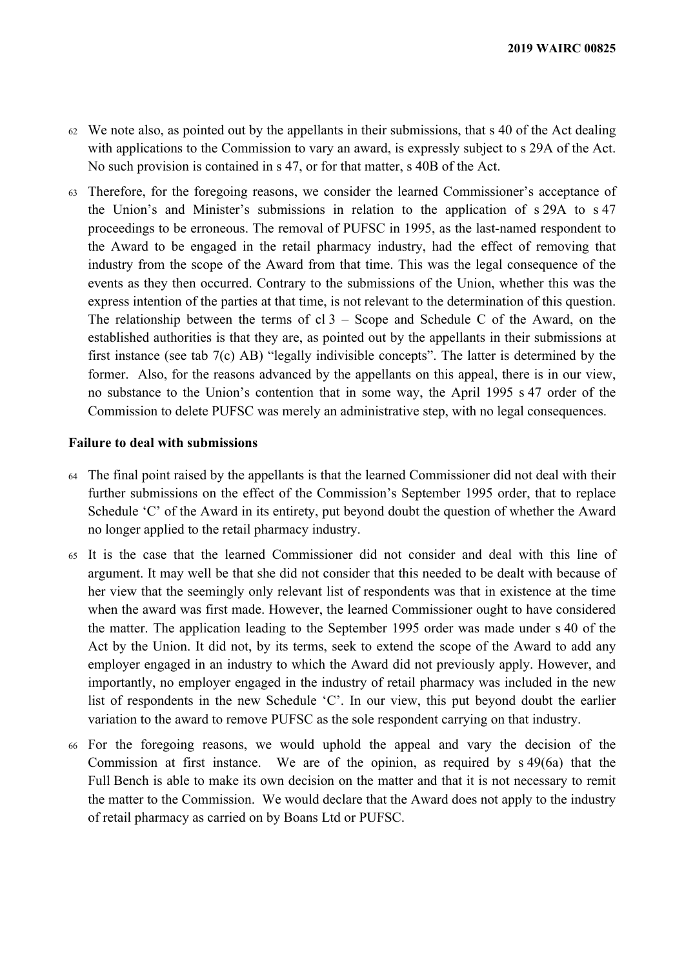- <sup>62</sup> We note also, as pointed out by the appellants in their submissions, that s 40 of the Act dealing with applications to the Commission to vary an award, is expressly subject to s 29A of the Act. No such provision is contained in s 47, or for that matter, s 40B of the Act.
- <sup>63</sup> Therefore, for the foregoing reasons, we consider the learned Commissioner's acceptance of the Union's and Minister's submissions in relation to the application of s 29A to s 47 proceedings to be erroneous. The removal of PUFSC in 1995, as the last-named respondent to the Award to be engaged in the retail pharmacy industry, had the effect of removing that industry from the scope of the Award from that time. This was the legal consequence of the events as they then occurred. Contrary to the submissions of the Union, whether this was the express intention of the parties at that time, is not relevant to the determination of this question. The relationship between the terms of cl  $3 -$  Scope and Schedule C of the Award, on the established authorities is that they are, as pointed out by the appellants in their submissions at first instance (see tab 7(c) AB) "legally indivisible concepts". The latter is determined by the former. Also, for the reasons advanced by the appellants on this appeal, there is in our view, no substance to the Union's contention that in some way, the April 1995 s 47 order of the Commission to delete PUFSC was merely an administrative step, with no legal consequences.

#### **Failure to deal with submissions**

- <sup>64</sup> The final point raised by the appellants is that the learned Commissioner did not deal with their further submissions on the effect of the Commission's September 1995 order, that to replace Schedule 'C' of the Award in its entirety, put beyond doubt the question of whether the Award no longer applied to the retail pharmacy industry.
- <sup>65</sup> It is the case that the learned Commissioner did not consider and deal with this line of argument. It may well be that she did not consider that this needed to be dealt with because of her view that the seemingly only relevant list of respondents was that in existence at the time when the award was first made. However, the learned Commissioner ought to have considered the matter. The application leading to the September 1995 order was made under s 40 of the Act by the Union. It did not, by its terms, seek to extend the scope of the Award to add any employer engaged in an industry to which the Award did not previously apply. However, and importantly, no employer engaged in the industry of retail pharmacy was included in the new list of respondents in the new Schedule 'C'. In our view, this put beyond doubt the earlier variation to the award to remove PUFSC as the sole respondent carrying on that industry.
- <sup>66</sup> For the foregoing reasons, we would uphold the appeal and vary the decision of the Commission at first instance. We are of the opinion, as required by s 49(6a) that the Full Bench is able to make its own decision on the matter and that it is not necessary to remit the matter to the Commission. We would declare that the Award does not apply to the industry of retail pharmacy as carried on by Boans Ltd or PUFSC.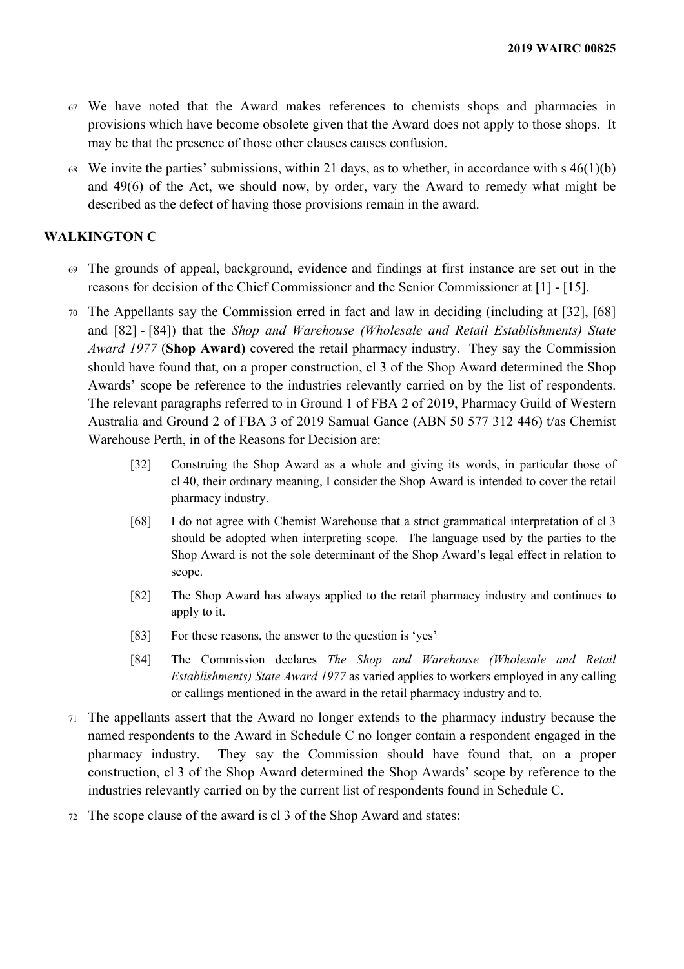- <sup>67</sup> We have noted that the Award makes references to chemists shops and pharmacies in provisions which have become obsolete given that the Award does not apply to those shops. It may be that the presence of those other clauses causes confusion.
- 68 We invite the parties' submissions, within 21 days, as to whether, in accordance with  $s \cdot 46(1)(b)$ and 49(6) of the Act, we should now, by order, vary the Award to remedy what might be described as the defect of having those provisions remain in the award.

## **WALKINGTON C**

- <sup>69</sup> The grounds of appeal, background, evidence and findings at first instance are set out in the reasons for decision of the Chief Commissioner and the Senior Commissioner at [1] - [15].
- <sup>70</sup> The Appellants say the Commission erred in fact and law in deciding (including at [32], [68] and [82] - [84]) that the *Shop and Warehouse (Wholesale and Retail Establishments) State Award 1977* (**Shop Award)** covered the retail pharmacy industry. They say the Commission should have found that, on a proper construction, cl 3 of the Shop Award determined the Shop Awards' scope be reference to the industries relevantly carried on by the list of respondents. The relevant paragraphs referred to in Ground 1 of FBA 2 of 2019, Pharmacy Guild of Western Australia and Ground 2 of FBA 3 of 2019 Samual Gance (ABN 50 577 312 446) t/as Chemist Warehouse Perth, in of the Reasons for Decision are:
	- [32] Construing the Shop Award as a whole and giving its words, in particular those of cl 40, their ordinary meaning, I consider the Shop Award is intended to cover the retail pharmacy industry.
	- [68] I do not agree with Chemist Warehouse that a strict grammatical interpretation of cl 3 should be adopted when interpreting scope. The language used by the parties to the Shop Award is not the sole determinant of the Shop Award's legal effect in relation to scope.
	- [82] The Shop Award has always applied to the retail pharmacy industry and continues to apply to it.
	- [83] For these reasons, the answer to the question is 'yes'
	- [84] The Commission declares *The Shop and Warehouse (Wholesale and Retail Establishments) State Award 1977* as varied applies to workers employed in any calling or callings mentioned in the award in the retail pharmacy industry and to.
- <sup>71</sup> The appellants assert that the Award no longer extends to the pharmacy industry because the named respondents to the Award in Schedule C no longer contain a respondent engaged in the pharmacy industry. They say the Commission should have found that, on a proper construction, cl 3 of the Shop Award determined the Shop Awards' scope by reference to the industries relevantly carried on by the current list of respondents found in Schedule C.
- <sup>72</sup> The scope clause of the award is cl 3 of the Shop Award and states: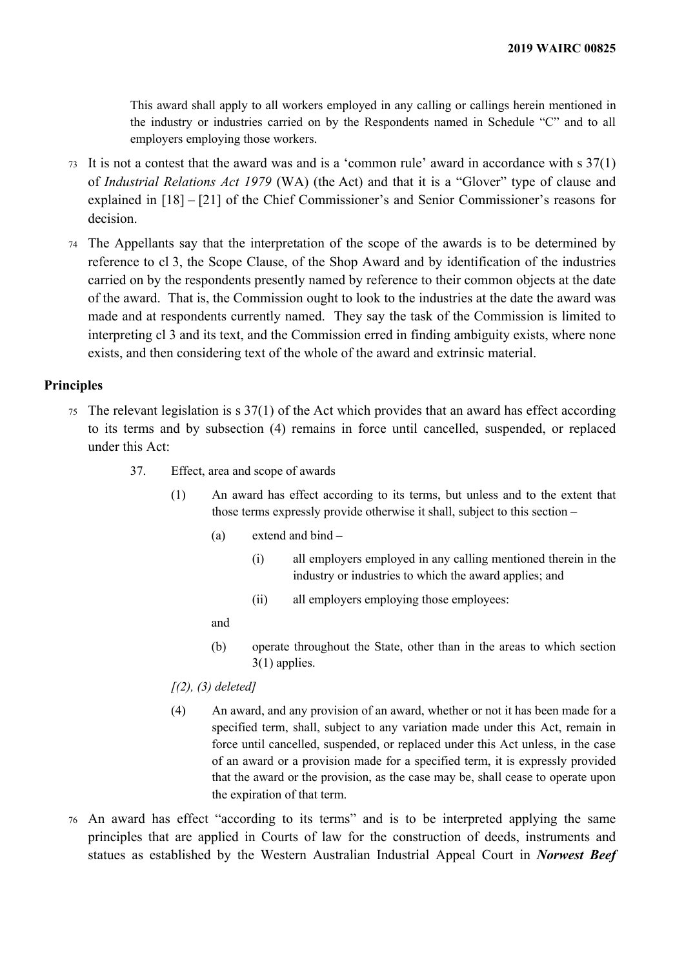This award shall apply to all workers employed in any calling or callings herein mentioned in the industry or industries carried on by the Respondents named in Schedule "C" and to all employers employing those workers.

- <sup>73</sup> It is not a contest that the award was and is a 'common rule' award in accordance with s 37(1) of *Industrial Relations Act 1979* (WA) (the Act) and that it is a "Glover" type of clause and explained in [18] – [21] of the Chief Commissioner's and Senior Commissioner's reasons for decision.
- <sup>74</sup> The Appellants say that the interpretation of the scope of the awards is to be determined by reference to cl 3, the Scope Clause, of the Shop Award and by identification of the industries carried on by the respondents presently named by reference to their common objects at the date of the award. That is, the Commission ought to look to the industries at the date the award was made and at respondents currently named. They say the task of the Commission is limited to interpreting cl 3 and its text, and the Commission erred in finding ambiguity exists, where none exists, and then considering text of the whole of the award and extrinsic material.

## **Principles**

- <sup>75</sup> The relevant legislation is s 37(1) of the Act which provides that an award has effect according to its terms and by subsection (4) remains in force until cancelled, suspended, or replaced under this Act:
	- 37. Effect, area and scope of awards
		- (1) An award has effect according to its terms, but unless and to the extent that those terms expressly provide otherwise it shall, subject to this section –
			- (a) extend and bind
				- (i) all employers employed in any calling mentioned therein in the industry or industries to which the award applies; and
				- (ii) all employers employing those employees:

and

- (b) operate throughout the State, other than in the areas to which section 3(1) applies.
- *[(2), (3) deleted]*
- (4) An award, and any provision of an award, whether or not it has been made for a specified term, shall, subject to any variation made under this Act, remain in force until cancelled, suspended, or replaced under this Act unless, in the case of an award or a provision made for a specified term, it is expressly provided that the award or the provision, as the case may be, shall cease to operate upon the expiration of that term.
- <sup>76</sup> An award has effect "according to its terms" and is to be interpreted applying the same principles that are applied in Courts of law for the construction of deeds, instruments and statues as established by the Western Australian Industrial Appeal Court in *Norwest Beef*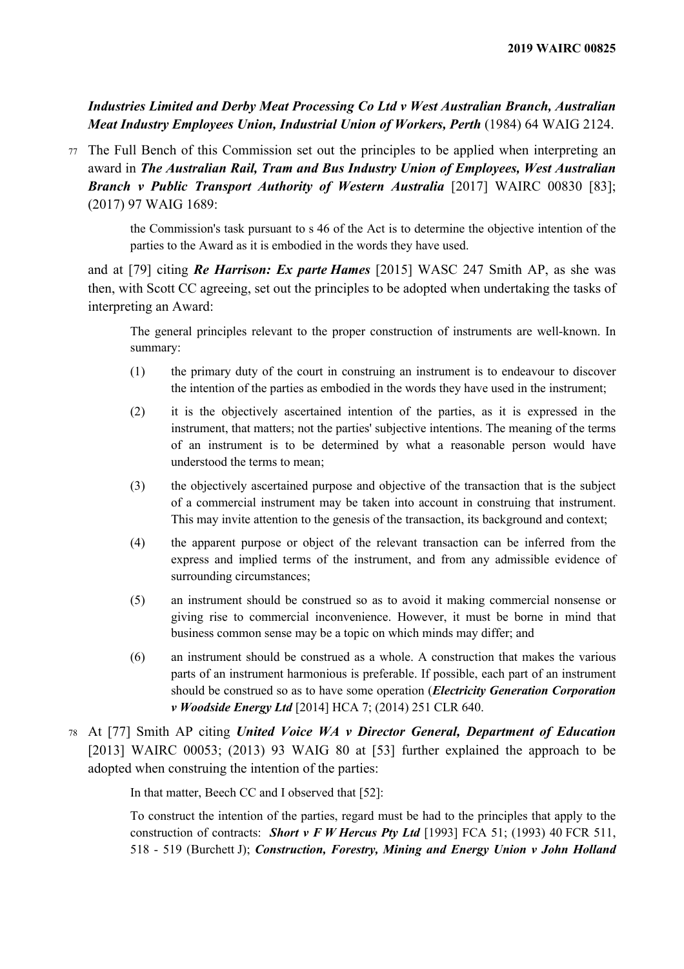*Industries Limited and Derby Meat Processing Co Ltd v West Australian Branch, Australian Meat Industry Employees Union, Industrial Union of Workers, Perth* (1984) 64 WAIG 2124.

<sup>77</sup> The Full Bench of this Commission set out the principles to be applied when interpreting an award in *The Australian Rail, Tram and Bus Industry Union of Employees, West Australian Branch v Public Transport Authority of Western Australia* [2017] WAIRC 00830 [83]; (2017) 97 WAIG 1689:

> the Commission's task pursuant to s 46 of the Act is to determine the objective intention of the parties to the Award as it is embodied in the words they have used.

and at [79] citing *Re Harrison: Ex parte Hames* [2015] WASC 247 Smith AP, as she was then, with Scott CC agreeing, set out the principles to be adopted when undertaking the tasks of interpreting an Award:

The general principles relevant to the proper construction of instruments are well-known. In summary:

- (1) the primary duty of the court in construing an instrument is to endeavour to discover the intention of the parties as embodied in the words they have used in the instrument;
- (2) it is the objectively ascertained intention of the parties, as it is expressed in the instrument, that matters; not the parties' subjective intentions. The meaning of the terms of an instrument is to be determined by what a reasonable person would have understood the terms to mean;
- (3) the objectively ascertained purpose and objective of the transaction that is the subject of a commercial instrument may be taken into account in construing that instrument. This may invite attention to the genesis of the transaction, its background and context;
- (4) the apparent purpose or object of the relevant transaction can be inferred from the express and implied terms of the instrument, and from any admissible evidence of surrounding circumstances;
- (5) an instrument should be construed so as to avoid it making commercial nonsense or giving rise to commercial inconvenience. However, it must be borne in mind that business common sense may be a topic on which minds may differ; and
- (6) an instrument should be construed as a whole. A construction that makes the various parts of an instrument harmonious is preferable. If possible, each part of an instrument should be construed so as to have some operation (*Electricity Generation Corporation v Woodside Energy Ltd* [2014] HCA 7; (2014) 251 CLR 640.
- <sup>78</sup> At [77] Smith AP citing *United Voice WA v Director General, Department of Education* [2013] WAIRC 00053; (2013) 93 WAIG 80 at [53] further explained the approach to be adopted when construing the intention of the parties:

In that matter, Beech CC and I observed that [52]:

To construct the intention of the parties, regard must be had to the principles that apply to the construction of contracts: *Short v F W Hercus Pty Ltd* [1993] FCA 51; (1993) 40 FCR 511, 518 - 519 (Burchett J); *Construction, Forestry, Mining and Energy Union v John Holland*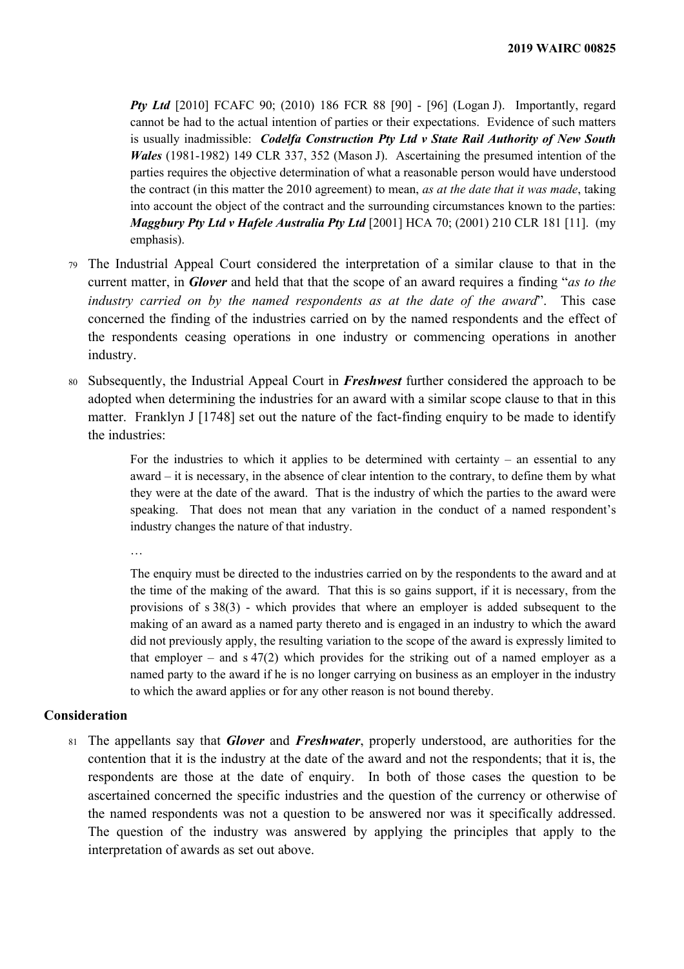*Pty Ltd* [2010] FCAFC 90; (2010) 186 FCR 88 [90] - [96] (Logan J). Importantly, regard cannot be had to the actual intention of parties or their expectations. Evidence of such matters is usually inadmissible: *Codelfa Construction Pty Ltd v State Rail Authority of New South Wales* (1981-1982) 149 CLR 337, 352 (Mason J). Ascertaining the presumed intention of the parties requires the objective determination of what a reasonable person would have understood the contract (in this matter the 2010 agreement) to mean, *as at the date that it was made*, taking into account the object of the contract and the surrounding circumstances known to the parties: *Maggbury Pty Ltd v Hafele Australia Pty Ltd* [2001] HCA 70; (2001) 210 CLR 181 [11]. (my emphasis).

- <sup>79</sup> The Industrial Appeal Court considered the interpretation of a similar clause to that in the current matter, in *Glover* and held that that the scope of an award requires a finding "*as to the industry carried on by the named respondents as at the date of the award*". This case concerned the finding of the industries carried on by the named respondents and the effect of the respondents ceasing operations in one industry or commencing operations in another industry.
- <sup>80</sup> Subsequently, the Industrial Appeal Court in *Freshwest* further considered the approach to be adopted when determining the industries for an award with a similar scope clause to that in this matter. Franklyn J [1748] set out the nature of the fact-finding enquiry to be made to identify the industries:

For the industries to which it applies to be determined with certainty – an essential to any award – it is necessary, in the absence of clear intention to the contrary, to define them by what they were at the date of the award. That is the industry of which the parties to the award were speaking. That does not mean that any variation in the conduct of a named respondent's industry changes the nature of that industry.

…

The enquiry must be directed to the industries carried on by the respondents to the award and at the time of the making of the award. That this is so gains support, if it is necessary, from the provisions of s 38(3) - which provides that where an employer is added subsequent to the making of an award as a named party thereto and is engaged in an industry to which the award did not previously apply, the resulting variation to the scope of the award is expressly limited to that employer – and  $s$  47(2) which provides for the striking out of a named employer as a named party to the award if he is no longer carrying on business as an employer in the industry to which the award applies or for any other reason is not bound thereby.

### **Consideration**

<sup>81</sup> The appellants say that *Glover* and *Freshwater*, properly understood, are authorities for the contention that it is the industry at the date of the award and not the respondents; that it is, the respondents are those at the date of enquiry. In both of those cases the question to be ascertained concerned the specific industries and the question of the currency or otherwise of the named respondents was not a question to be answered nor was it specifically addressed. The question of the industry was answered by applying the principles that apply to the interpretation of awards as set out above.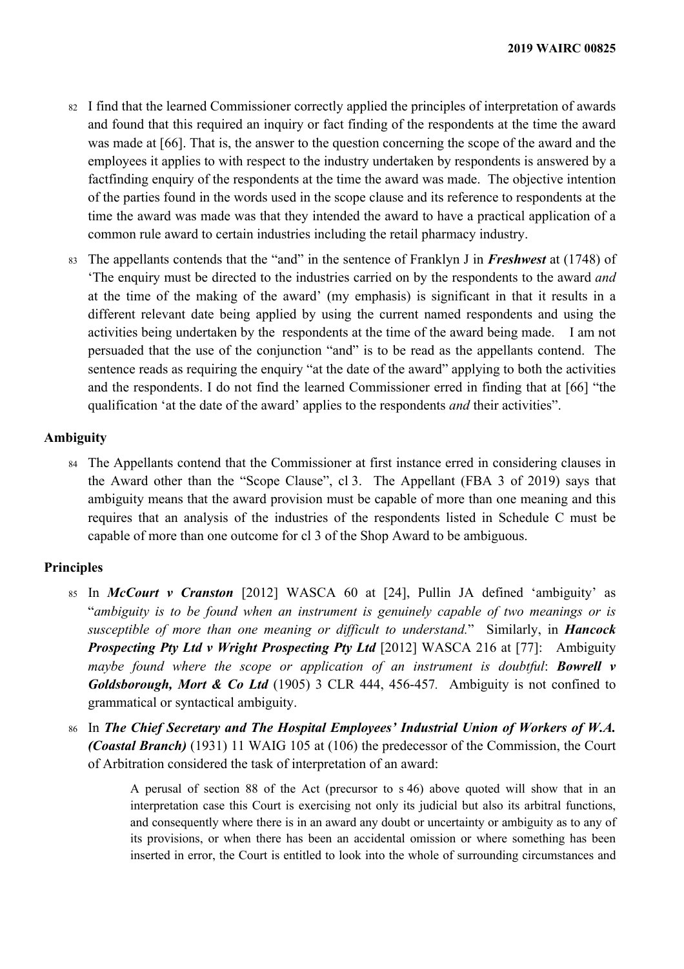- <sup>82</sup> I find that the learned Commissioner correctly applied the principles of interpretation of awards and found that this required an inquiry or fact finding of the respondents at the time the award was made at [66]. That is, the answer to the question concerning the scope of the award and the employees it applies to with respect to the industry undertaken by respondents is answered by a factfinding enquiry of the respondents at the time the award was made. The objective intention of the parties found in the words used in the scope clause and its reference to respondents at the time the award was made was that they intended the award to have a practical application of a common rule award to certain industries including the retail pharmacy industry.
- <sup>83</sup> The appellants contends that the "and" in the sentence of Franklyn J in *Freshwest* at (1748) of 'The enquiry must be directed to the industries carried on by the respondents to the award *and* at the time of the making of the award' (my emphasis) is significant in that it results in a different relevant date being applied by using the current named respondents and using the activities being undertaken by the respondents at the time of the award being made. I am not persuaded that the use of the conjunction "and" is to be read as the appellants contend. The sentence reads as requiring the enquiry "at the date of the award" applying to both the activities and the respondents. I do not find the learned Commissioner erred in finding that at [66] "the qualification 'at the date of the award' applies to the respondents *and* their activities".

## **Ambiguity**

<sup>84</sup> The Appellants contend that the Commissioner at first instance erred in considering clauses in the Award other than the "Scope Clause", cl 3. The Appellant (FBA 3 of 2019) says that ambiguity means that the award provision must be capable of more than one meaning and this requires that an analysis of the industries of the respondents listed in Schedule C must be capable of more than one outcome for cl 3 of the Shop Award to be ambiguous.

## **Principles**

- <sup>85</sup> In *McCourt v Cranston* [2012] WASCA 60 at [24], Pullin JA defined 'ambiguity' as "*ambiguity is to be found when an instrument is genuinely capable of two meanings or is susceptible of more than one meaning or difficult to understand.*" Similarly, in *Hancock Prospecting Pty Ltd v Wright Prospecting Pty Ltd* [2012] WASCA 216 at [77]: Ambiguity *maybe found where the scope or application of an instrument is doubtful*: *Bowrell v Goldsborough, Mort & Co Ltd* (1905) 3 CLR 444, 456-457*.* Ambiguity is not confined to grammatical or syntactical ambiguity.
- <sup>86</sup> In *The Chief Secretary and The Hospital Employees' Industrial Union of Workers of W.A. (Coastal Branch)* (1931) 11 WAIG 105 at (106) the predecessor of the Commission, the Court of Arbitration considered the task of interpretation of an award:

A perusal of section 88 of the Act (precursor to s 46) above quoted will show that in an interpretation case this Court is exercising not only its judicial but also its arbitral functions, and consequently where there is in an award any doubt or uncertainty or ambiguity as to any of its provisions, or when there has been an accidental omission or where something has been inserted in error, the Court is entitled to look into the whole of surrounding circumstances and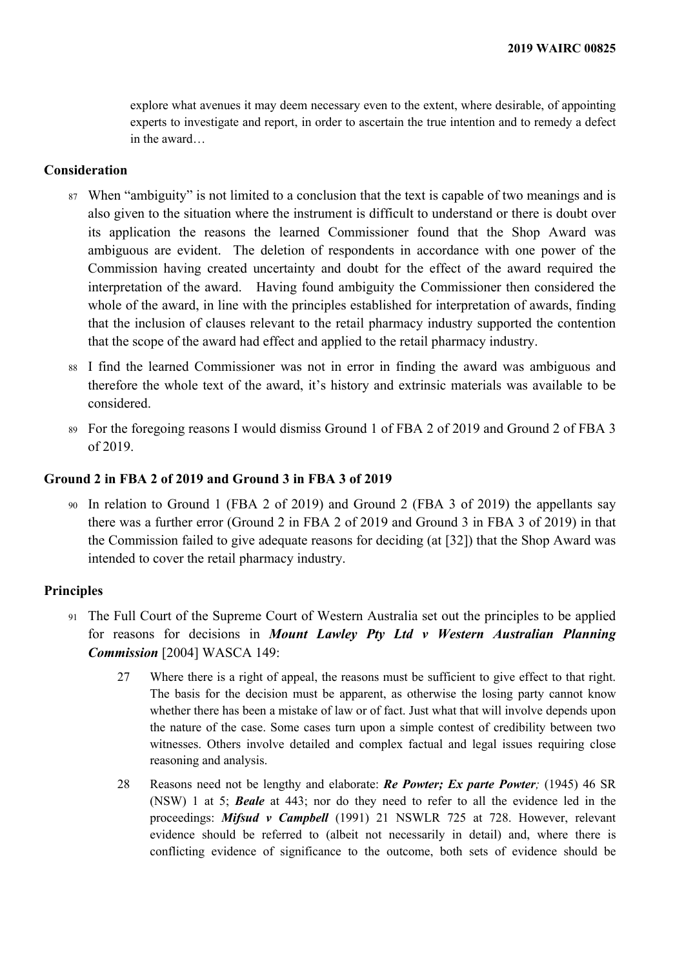explore what avenues it may deem necessary even to the extent, where desirable, of appointing experts to investigate and report, in order to ascertain the true intention and to remedy a defect in the award…

### **Consideration**

- <sup>87</sup> When "ambiguity" is not limited to a conclusion that the text is capable of two meanings and is also given to the situation where the instrument is difficult to understand or there is doubt over its application the reasons the learned Commissioner found that the Shop Award was ambiguous are evident. The deletion of respondents in accordance with one power of the Commission having created uncertainty and doubt for the effect of the award required the interpretation of the award. Having found ambiguity the Commissioner then considered the whole of the award, in line with the principles established for interpretation of awards, finding that the inclusion of clauses relevant to the retail pharmacy industry supported the contention that the scope of the award had effect and applied to the retail pharmacy industry.
- <sup>88</sup> I find the learned Commissioner was not in error in finding the award was ambiguous and therefore the whole text of the award, it's history and extrinsic materials was available to be considered.
- <sup>89</sup> For the foregoing reasons I would dismiss Ground 1 of FBA 2 of 2019 and Ground 2 of FBA 3 of 2019.

## **Ground 2 in FBA 2 of 2019 and Ground 3 in FBA 3 of 2019**

<sup>90</sup> In relation to Ground 1 (FBA 2 of 2019) and Ground 2 (FBA 3 of 2019) the appellants say there was a further error (Ground 2 in FBA 2 of 2019 and Ground 3 in FBA 3 of 2019) in that the Commission failed to give adequate reasons for deciding (at [32]) that the Shop Award was intended to cover the retail pharmacy industry.

## **Principles**

- <sup>91</sup> The Full Court of the Supreme Court of Western Australia set out the principles to be applied for reasons for decisions in *Mount Lawley Pty Ltd v Western Australian Planning Commission* [2004] WASCA 149:
	- 27 Where there is a right of appeal, the reasons must be sufficient to give effect to that right. The basis for the decision must be apparent, as otherwise the losing party cannot know whether there has been a mistake of law or of fact. Just what that will involve depends upon the nature of the case. Some cases turn upon a simple contest of credibility between two witnesses. Others involve detailed and complex factual and legal issues requiring close reasoning and analysis.
	- 28 Reasons need not be lengthy and elaborate: *Re Powter; Ex parte Powter;* (1945) 46 SR (NSW) 1 at 5; *Beale* at 443; nor do they need to refer to all the evidence led in the proceedings: *Mifsud v Campbell* (1991) 21 NSWLR 725 at 728. However, relevant evidence should be referred to (albeit not necessarily in detail) and, where there is conflicting evidence of significance to the outcome, both sets of evidence should be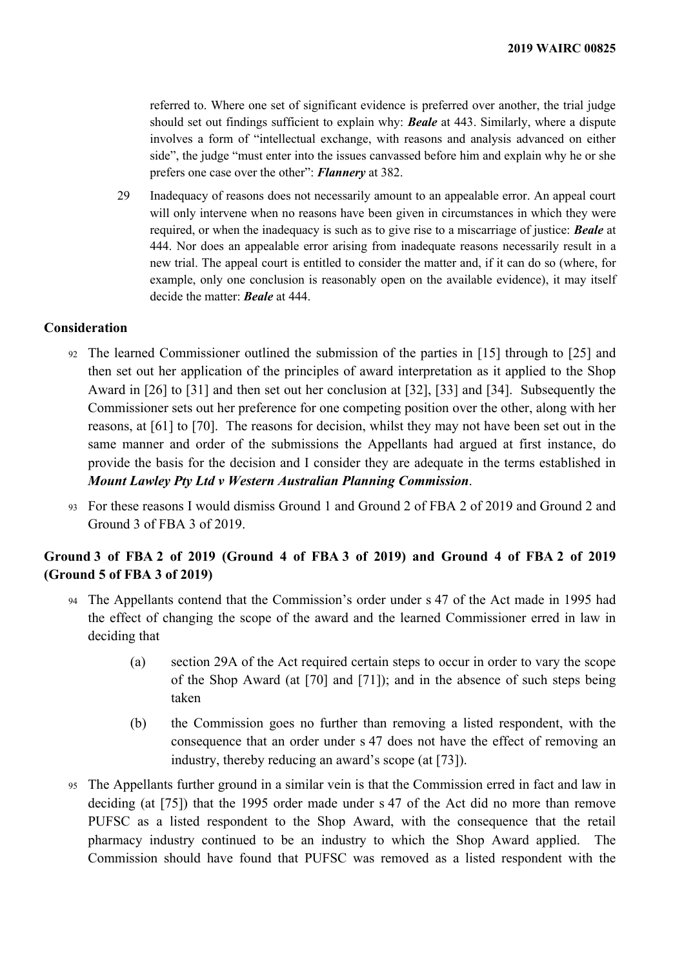referred to. Where one set of significant evidence is preferred over another, the trial judge should set out findings sufficient to explain why: *Beale* at 443. Similarly, where a dispute involves a form of "intellectual exchange, with reasons and analysis advanced on either side", the judge "must enter into the issues canvassed before him and explain why he or she prefers one case over the other": *Flannery* at 382.

29 Inadequacy of reasons does not necessarily amount to an appealable error. An appeal court will only intervene when no reasons have been given in circumstances in which they were required, or when the inadequacy is such as to give rise to a miscarriage of justice: *Beale* at 444. Nor does an appealable error arising from inadequate reasons necessarily result in a new trial. The appeal court is entitled to consider the matter and, if it can do so (where, for example, only one conclusion is reasonably open on the available evidence), it may itself decide the matter: *Beale* at 444.

## **Consideration**

- <sup>92</sup> The learned Commissioner outlined the submission of the parties in [15] through to [25] and then set out her application of the principles of award interpretation as it applied to the Shop Award in [26] to [31] and then set out her conclusion at [32], [33] and [34]. Subsequently the Commissioner sets out her preference for one competing position over the other, along with her reasons, at [61] to [70]. The reasons for decision, whilst they may not have been set out in the same manner and order of the submissions the Appellants had argued at first instance, do provide the basis for the decision and I consider they are adequate in the terms established in *Mount Lawley Pty Ltd v Western Australian Planning Commission*.
- <sup>93</sup> For these reasons I would dismiss Ground 1 and Ground 2 of FBA 2 of 2019 and Ground 2 and Ground 3 of FBA 3 of 2019.

# **Ground 3 of FBA 2 of 2019 (Ground 4 of FBA 3 of 2019) and Ground 4 of FBA 2 of 2019 (Ground 5 of FBA 3 of 2019)**

- <sup>94</sup> The Appellants contend that the Commission's order under s 47 of the Act made in 1995 had the effect of changing the scope of the award and the learned Commissioner erred in law in deciding that
	- (a) section 29A of the Act required certain steps to occur in order to vary the scope of the Shop Award (at [70] and [71]); and in the absence of such steps being taken
	- (b) the Commission goes no further than removing a listed respondent, with the consequence that an order under s 47 does not have the effect of removing an industry, thereby reducing an award's scope (at [73]).
- <sup>95</sup> The Appellants further ground in a similar vein is that the Commission erred in fact and law in deciding (at [75]) that the 1995 order made under s 47 of the Act did no more than remove PUFSC as a listed respondent to the Shop Award, with the consequence that the retail pharmacy industry continued to be an industry to which the Shop Award applied. The Commission should have found that PUFSC was removed as a listed respondent with the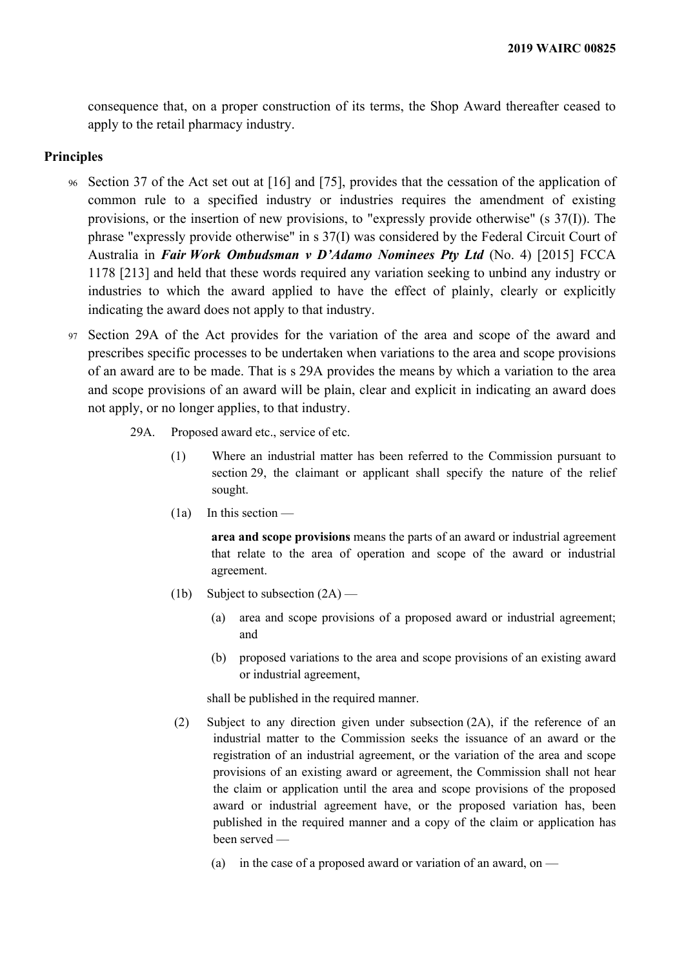consequence that, on a proper construction of its terms, the Shop Award thereafter ceased to apply to the retail pharmacy industry.

### **Principles**

- <sup>96</sup> Section 37 of the Act set out at [16] and [75], provides that the cessation of the application of common rule to a specified industry or industries requires the amendment of existing provisions, or the insertion of new provisions, to "expressly provide otherwise" (s 37(I)). The phrase "expressly provide otherwise" in s 37(I) was considered by the Federal Circuit Court of Australia in *Fair Work Ombudsman v D'Adamo Nominees Pty Ltd* (No. 4) [2015] FCCA 1178 [213] and held that these words required any variation seeking to unbind any industry or industries to which the award applied to have the effect of plainly, clearly or explicitly indicating the award does not apply to that industry.
- <sup>97</sup> Section 29A of the Act provides for the variation of the area and scope of the award and prescribes specific processes to be undertaken when variations to the area and scope provisions of an award are to be made. That is s 29A provides the means by which a variation to the area and scope provisions of an award will be plain, clear and explicit in indicating an award does not apply, or no longer applies, to that industry.
	- 29A. Proposed award etc., service of etc.
		- (1) Where an industrial matter has been referred to the Commission pursuant to section 29, the claimant or applicant shall specify the nature of the relief sought.
		- (1a) In this section —

**area and scope provisions** means the parts of an award or industrial agreement that relate to the area of operation and scope of the award or industrial agreement.

- (1b) Subject to subsection  $(2A)$ 
	- (a) area and scope provisions of a proposed award or industrial agreement; and
	- (b) proposed variations to the area and scope provisions of an existing award or industrial agreement,

shall be published in the required manner.

- (2) Subject to any direction given under subsection (2A), if the reference of an industrial matter to the Commission seeks the issuance of an award or the registration of an industrial agreement, or the variation of the area and scope provisions of an existing award or agreement, the Commission shall not hear the claim or application until the area and scope provisions of the proposed award or industrial agreement have, or the proposed variation has, been published in the required manner and a copy of the claim or application has been served —
	- (a) in the case of a proposed award or variation of an award, on  $-$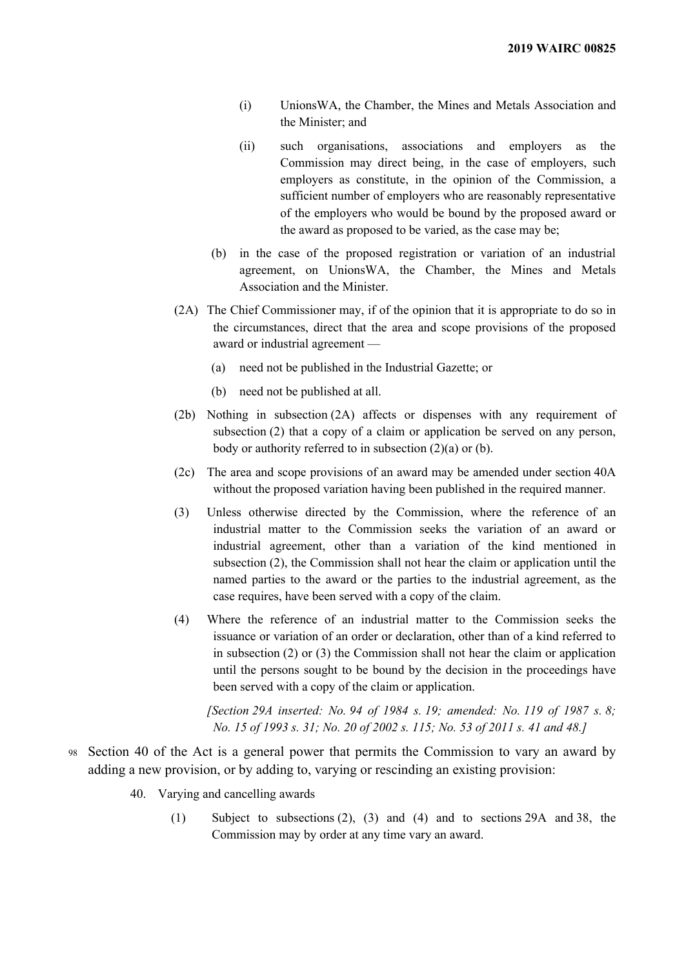- (i) UnionsWA, the Chamber, the Mines and Metals Association and the Minister; and
- (ii) such organisations, associations and employers as the Commission may direct being, in the case of employers, such employers as constitute, in the opinion of the Commission, a sufficient number of employers who are reasonably representative of the employers who would be bound by the proposed award or the award as proposed to be varied, as the case may be;
- (b) in the case of the proposed registration or variation of an industrial agreement, on UnionsWA, the Chamber, the Mines and Metals Association and the Minister.
- (2A) The Chief Commissioner may, if of the opinion that it is appropriate to do so in the circumstances, direct that the area and scope provisions of the proposed award or industrial agreement —
	- (a) need not be published in the Industrial Gazette; or
	- (b) need not be published at all.
- (2b) Nothing in subsection (2A) affects or dispenses with any requirement of subsection (2) that a copy of a claim or application be served on any person, body or authority referred to in subsection (2)(a) or (b).
- (2c) The area and scope provisions of an award may be amended under section 40A without the proposed variation having been published in the required manner.
- (3) Unless otherwise directed by the Commission, where the reference of an industrial matter to the Commission seeks the variation of an award or industrial agreement, other than a variation of the kind mentioned in subsection (2), the Commission shall not hear the claim or application until the named parties to the award or the parties to the industrial agreement, as the case requires, have been served with a copy of the claim.
- (4) Where the reference of an industrial matter to the Commission seeks the issuance or variation of an order or declaration, other than of a kind referred to in subsection (2) or (3) the Commission shall not hear the claim or application until the persons sought to be bound by the decision in the proceedings have been served with a copy of the claim or application.

*[Section 29A inserted: No. 94 of 1984 s. 19; amended: No. 119 of 1987 s. 8; No. 15 of 1993 s. 31; No. 20 of 2002 s. 115; No. 53 of 2011 s. 41 and 48.]*

- <sup>98</sup> Section 40 of the Act is a general power that permits the Commission to vary an award by adding a new provision, or by adding to, varying or rescinding an existing provision:
	- 40. Varying and cancelling awards
		- (1) Subject to subsections (2), (3) and (4) and to sections 29A and 38, the Commission may by order at any time vary an award.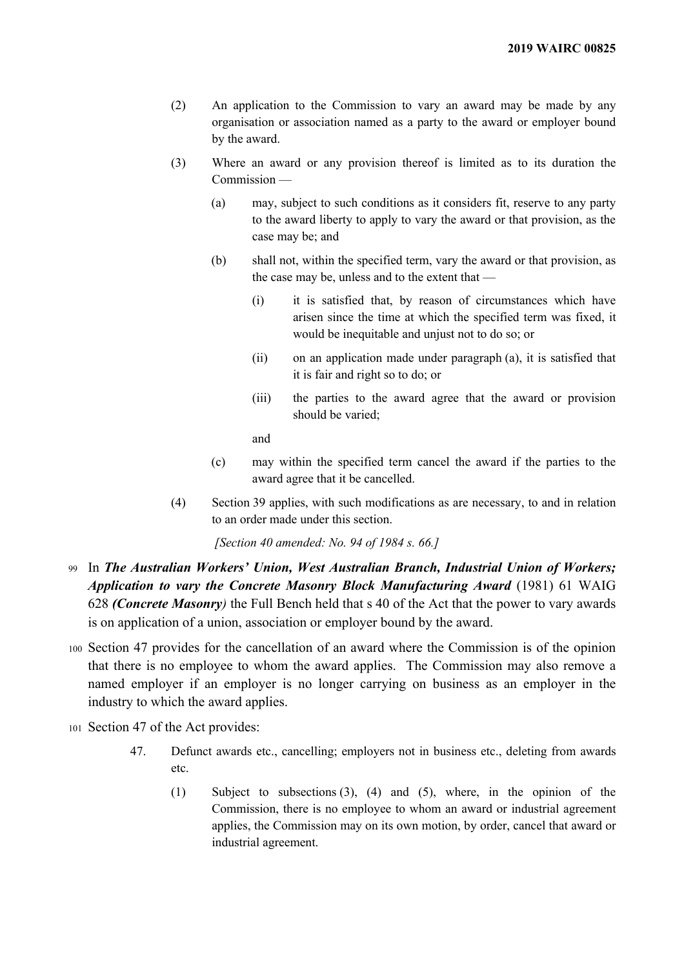- (2) An application to the Commission to vary an award may be made by any organisation or association named as a party to the award or employer bound by the award.
- (3) Where an award or any provision thereof is limited as to its duration the Commission —
	- (a) may, subject to such conditions as it considers fit, reserve to any party to the award liberty to apply to vary the award or that provision, as the case may be; and
	- (b) shall not, within the specified term, vary the award or that provision, as the case may be, unless and to the extent that —
		- (i) it is satisfied that, by reason of circumstances which have arisen since the time at which the specified term was fixed, it would be inequitable and unjust not to do so; or
		- (ii) on an application made under paragraph (a), it is satisfied that it is fair and right so to do; or
		- (iii) the parties to the award agree that the award or provision should be varied;

and

- (c) may within the specified term cancel the award if the parties to the award agree that it be cancelled.
- (4) Section 39 applies, with such modifications as are necessary, to and in relation to an order made under this section.

*[Section 40 amended: No. 94 of 1984 s. 66.]*

- <sup>99</sup> In *The Australian Workers' Union, West Australian Branch, Industrial Union of Workers; Application to vary the Concrete Masonry Block Manufacturing Award* (1981) 61 WAIG 628 *(Concrete Masonry)* the Full Bench held that s 40 of the Act that the power to vary awards is on application of a union, association or employer bound by the award.
- <sup>100</sup> Section 47 provides for the cancellation of an award where the Commission is of the opinion that there is no employee to whom the award applies. The Commission may also remove a named employer if an employer is no longer carrying on business as an employer in the industry to which the award applies.
- <sup>101</sup> Section 47 of the Act provides:
	- 47. Defunct awards etc., cancelling; employers not in business etc., deleting from awards etc.
		- (1) Subject to subsections (3), (4) and (5), where, in the opinion of the Commission, there is no employee to whom an award or industrial agreement applies, the Commission may on its own motion, by order, cancel that award or industrial agreement.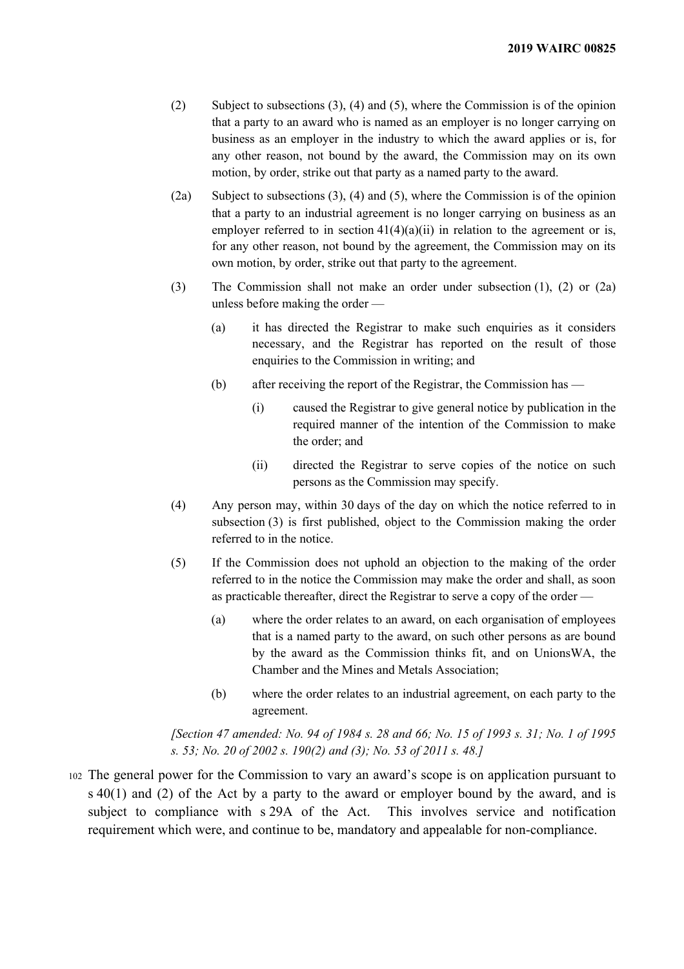- (2) Subject to subsections (3), (4) and (5), where the Commission is of the opinion that a party to an award who is named as an employer is no longer carrying on business as an employer in the industry to which the award applies or is, for any other reason, not bound by the award, the Commission may on its own motion, by order, strike out that party as a named party to the award.
- (2a) Subject to subsections (3), (4) and (5), where the Commission is of the opinion that a party to an industrial agreement is no longer carrying on business as an employer referred to in section  $41(4)(a)(ii)$  in relation to the agreement or is, for any other reason, not bound by the agreement, the Commission may on its own motion, by order, strike out that party to the agreement.
- (3) The Commission shall not make an order under subsection (1), (2) or (2a) unless before making the order —
	- (a) it has directed the Registrar to make such enquiries as it considers necessary, and the Registrar has reported on the result of those enquiries to the Commission in writing; and
	- (b) after receiving the report of the Registrar, the Commission has
		- (i) caused the Registrar to give general notice by publication in the required manner of the intention of the Commission to make the order; and
		- (ii) directed the Registrar to serve copies of the notice on such persons as the Commission may specify.
- (4) Any person may, within 30 days of the day on which the notice referred to in subsection (3) is first published, object to the Commission making the order referred to in the notice.
- (5) If the Commission does not uphold an objection to the making of the order referred to in the notice the Commission may make the order and shall, as soon as practicable thereafter, direct the Registrar to serve a copy of the order —
	- (a) where the order relates to an award, on each organisation of employees that is a named party to the award, on such other persons as are bound by the award as the Commission thinks fit, and on UnionsWA, the Chamber and the Mines and Metals Association;
	- (b) where the order relates to an industrial agreement, on each party to the agreement.

*[Section 47 amended: No. 94 of 1984 s. 28 and 66; No. 15 of 1993 s. 31; No. 1 of 1995 s. 53; No. 20 of 2002 s. 190(2) and (3); No. 53 of 2011 s. 48.]*

<sup>102</sup> The general power for the Commission to vary an award's scope is on application pursuant to s 40(1) and (2) of the Act by a party to the award or employer bound by the award, and is subject to compliance with s 29A of the Act. This involves service and notification requirement which were, and continue to be, mandatory and appealable for non-compliance.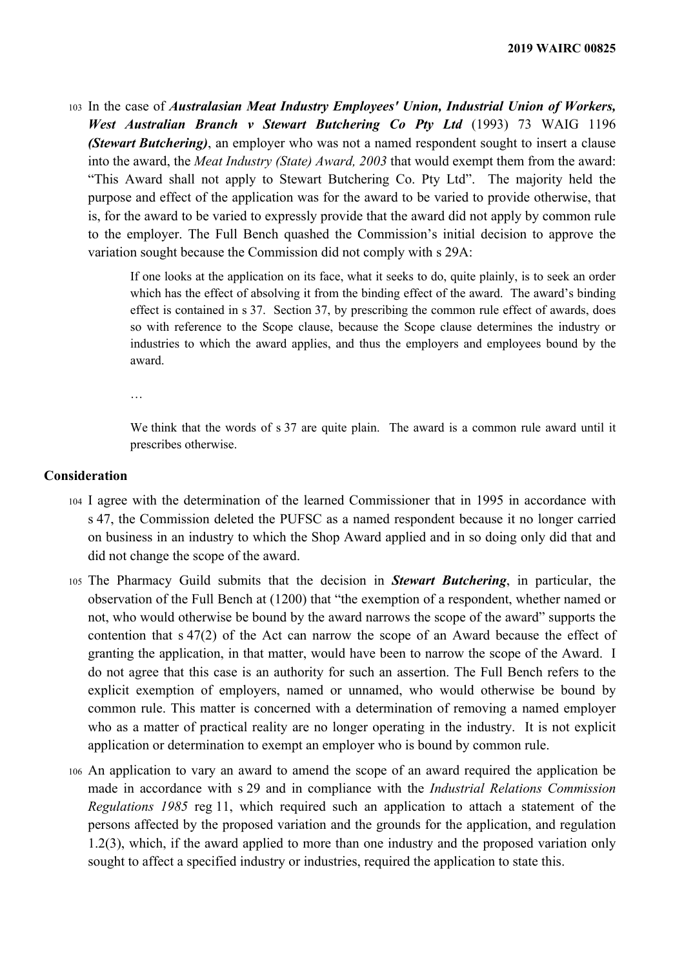<sup>103</sup> In the case of *Australasian Meat Industry Employees' Union, Industrial Union of Workers, West Australian Branch v Stewart Butchering Co Pty Ltd* (1993) 73 WAIG 1196 *(Stewart Butchering)*, an employer who was not a named respondent sought to insert a clause into the award, the *Meat Industry (State) Award, 2003* that would exempt them from the award: "This Award shall not apply to Stewart Butchering Co. Pty Ltd". The majority held the purpose and effect of the application was for the award to be varied to provide otherwise, that is, for the award to be varied to expressly provide that the award did not apply by common rule to the employer. The Full Bench quashed the Commission's initial decision to approve the variation sought because the Commission did not comply with s 29A:

> If one looks at the application on its face, what it seeks to do, quite plainly, is to seek an order which has the effect of absolving it from the binding effect of the award. The award's binding effect is contained in s 37. Section 37, by prescribing the common rule effect of awards, does so with reference to the Scope clause, because the Scope clause determines the industry or industries to which the award applies, and thus the employers and employees bound by the award.

…

We think that the words of s 37 are quite plain. The award is a common rule award until it prescribes otherwise.

#### **Consideration**

- <sup>104</sup> I agree with the determination of the learned Commissioner that in 1995 in accordance with s 47, the Commission deleted the PUFSC as a named respondent because it no longer carried on business in an industry to which the Shop Award applied and in so doing only did that and did not change the scope of the award.
- <sup>105</sup> The Pharmacy Guild submits that the decision in *Stewart Butchering*, in particular, the observation of the Full Bench at (1200) that "the exemption of a respondent, whether named or not, who would otherwise be bound by the award narrows the scope of the award" supports the contention that s 47(2) of the Act can narrow the scope of an Award because the effect of granting the application, in that matter, would have been to narrow the scope of the Award. I do not agree that this case is an authority for such an assertion. The Full Bench refers to the explicit exemption of employers, named or unnamed, who would otherwise be bound by common rule. This matter is concerned with a determination of removing a named employer who as a matter of practical reality are no longer operating in the industry. It is not explicit application or determination to exempt an employer who is bound by common rule.
- <sup>106</sup> An application to vary an award to amend the scope of an award required the application be made in accordance with s 29 and in compliance with the *Industrial Relations Commission Regulations 1985* reg 11, which required such an application to attach a statement of the persons affected by the proposed variation and the grounds for the application, and regulation 1.2(3), which, if the award applied to more than one industry and the proposed variation only sought to affect a specified industry or industries, required the application to state this.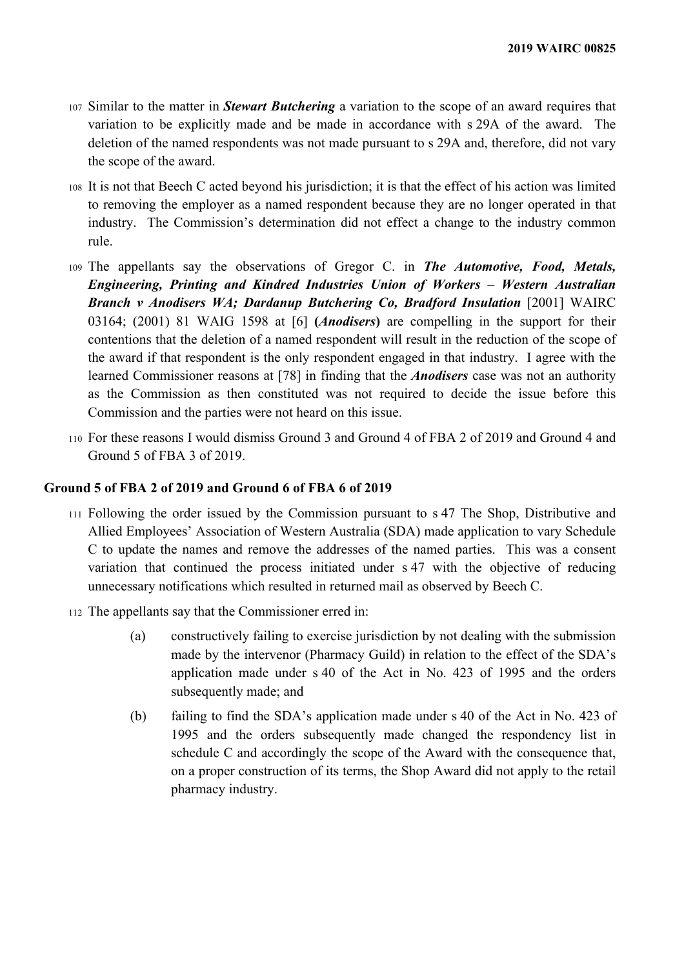- <sup>107</sup> Similar to the matter in *Stewart Butchering* a variation to the scope of an award requires that variation to be explicitly made and be made in accordance with s 29A of the award. The deletion of the named respondents was not made pursuant to s 29A and, therefore, did not vary the scope of the award.
- <sup>108</sup> It is not that Beech C acted beyond his jurisdiction; it is that the effect of his action was limited to removing the employer as a named respondent because they are no longer operated in that industry. The Commission's determination did not effect a change to the industry common rule.
- <sup>109</sup> The appellants say the observations of Gregor C. in *The Automotive, Food, Metals, Engineering, Printing and Kindred Industries Union of Workers – Western Australian Branch v Anodisers WA; Dardanup Butchering Co, Bradford Insulation* [2001] WAIRC 03164; (2001) 81 WAIG 1598 at [6] **(***Anodisers***)** are compelling in the support for their contentions that the deletion of a named respondent will result in the reduction of the scope of the award if that respondent is the only respondent engaged in that industry. I agree with the learned Commissioner reasons at [78] in finding that the *Anodisers* case was not an authority as the Commission as then constituted was not required to decide the issue before this Commission and the parties were not heard on this issue.
- <sup>110</sup> For these reasons I would dismiss Ground 3 and Ground 4 of FBA 2 of 2019 and Ground 4 and Ground 5 of FBA 3 of 2019.

### **Ground 5 of FBA 2 of 2019 and Ground 6 of FBA 6 of 2019**

- <sup>111</sup> Following the order issued by the Commission pursuant to s 47 The Shop, Distributive and Allied Employees' Association of Western Australia (SDA) made application to vary Schedule C to update the names and remove the addresses of the named parties. This was a consent variation that continued the process initiated under s 47 with the objective of reducing unnecessary notifications which resulted in returned mail as observed by Beech C.
- <sup>112</sup> The appellants say that the Commissioner erred in:
	- (a) constructively failing to exercise jurisdiction by not dealing with the submission made by the intervenor (Pharmacy Guild) in relation to the effect of the SDA's application made under s 40 of the Act in No. 423 of 1995 and the orders subsequently made; and
	- (b) failing to find the SDA's application made under s 40 of the Act in No. 423 of 1995 and the orders subsequently made changed the respondency list in schedule C and accordingly the scope of the Award with the consequence that, on a proper construction of its terms, the Shop Award did not apply to the retail pharmacy industry.